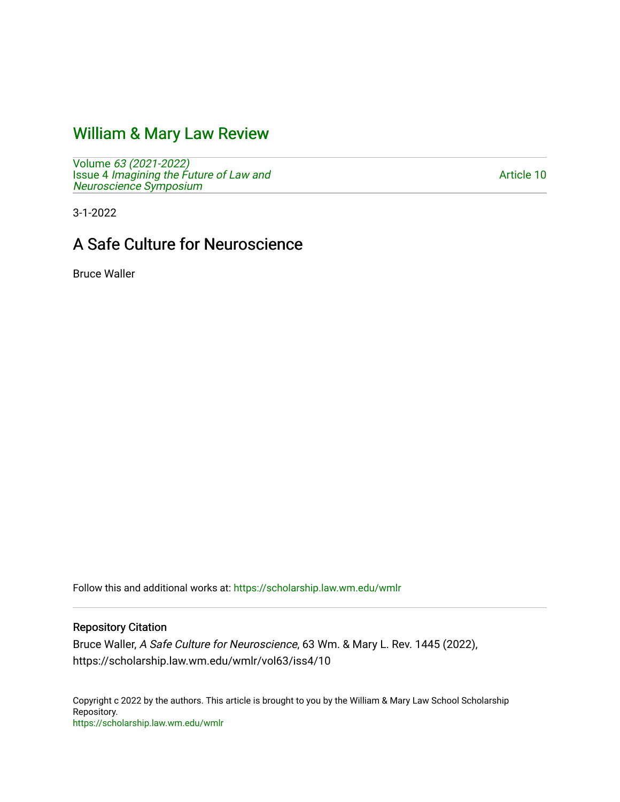# [William & Mary Law Review](https://scholarship.law.wm.edu/wmlr)

Volume [63 \(2021-2022\)](https://scholarship.law.wm.edu/wmlr/vol63)  Issue 4 [Imagining the Future of Law and](https://scholarship.law.wm.edu/wmlr/vol63/iss4)  [Neuroscience Symposium](https://scholarship.law.wm.edu/wmlr/vol63/iss4) 

[Article 10](https://scholarship.law.wm.edu/wmlr/vol63/iss4/10) 

3-1-2022

# A Safe Culture for Neuroscience

Bruce Waller

Follow this and additional works at: [https://scholarship.law.wm.edu/wmlr](https://scholarship.law.wm.edu/wmlr?utm_source=scholarship.law.wm.edu%2Fwmlr%2Fvol63%2Fiss4%2F10&utm_medium=PDF&utm_campaign=PDFCoverPages)

# Repository Citation

Bruce Waller, A Safe Culture for Neuroscience, 63 Wm. & Mary L. Rev. 1445 (2022), https://scholarship.law.wm.edu/wmlr/vol63/iss4/10

Copyright c 2022 by the authors. This article is brought to you by the William & Mary Law School Scholarship Repository. <https://scholarship.law.wm.edu/wmlr>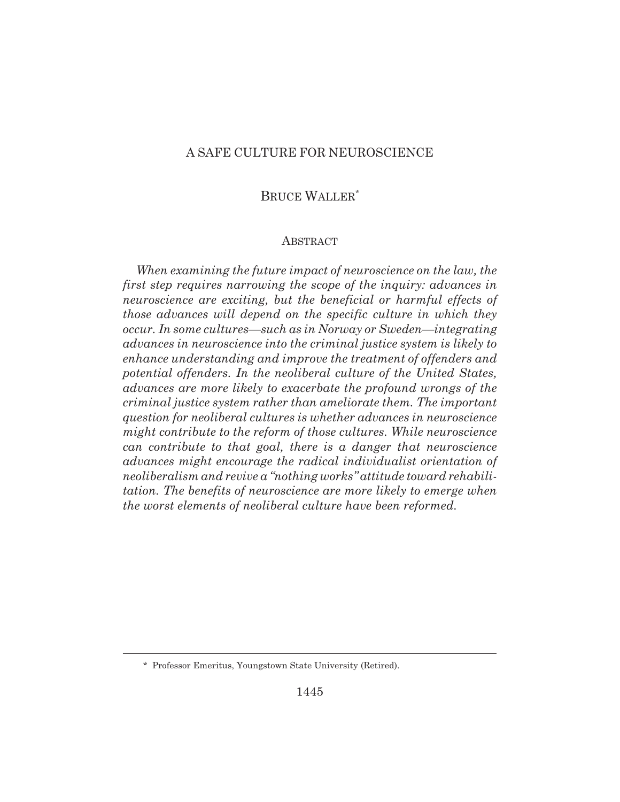# A SAFE CULTURE FOR NEUROSCIENCE

# BRUCE WALLER\*

## **ABSTRACT**

*When examining the future impact of neuroscience on the law, the first step requires narrowing the scope of the inquiry: advances in neuroscience are exciting, but the beneficial or harmful effects of those advances will depend on the specific culture in which they occur. In some cultures—such as in Norway or Sweden—integrating advances in neuroscience into the criminal justice system is likely to enhance understanding and improve the treatment of offenders and potential offenders. In the neoliberal culture of the United States, advances are more likely to exacerbate the profound wrongs of the criminal justice system rather than ameliorate them. The important question for neoliberal cultures is whether advances in neuroscience might contribute to the reform of those cultures. While neuroscience can contribute to that goal, there is a danger that neuroscience advances might encourage the radical individualist orientation of neoliberalism and revive a "nothing works" attitude toward rehabilitation. The benefits of neuroscience are more likely to emerge when the worst elements of neoliberal culture have been reformed.*

<sup>\*</sup> Professor Emeritus, Youngstown State University (Retired).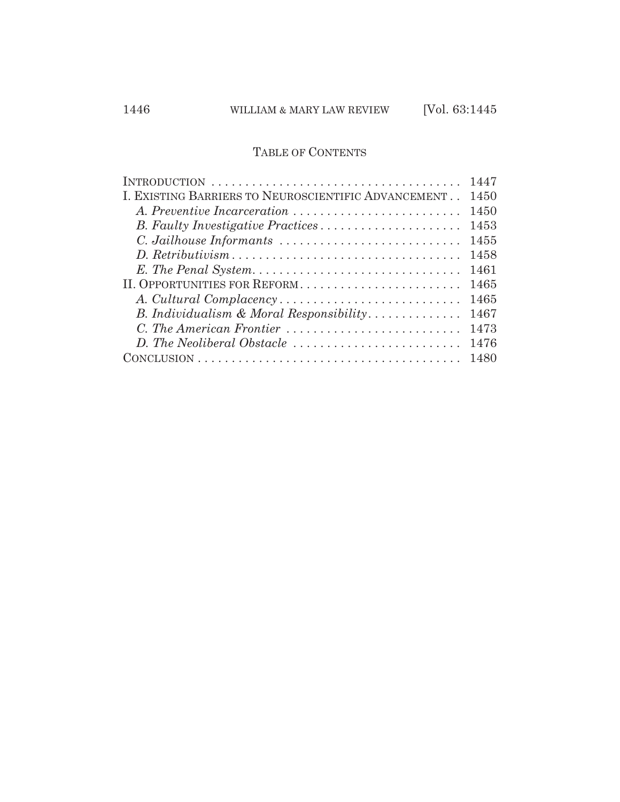# TABLE OF CONTENTS

|                                                     | 1447 |
|-----------------------------------------------------|------|
| I. EXISTING BARRIERS TO NEUROSCIENTIFIC ADVANCEMENT | 1450 |
|                                                     | 1450 |
| B. Faulty Investigative Practices                   | 1453 |
|                                                     | 1455 |
|                                                     | 1458 |
|                                                     | 1461 |
| II. OPPORTUNITIES FOR REFORM                        | 1465 |
|                                                     | 1465 |
| B. Individualism & Moral Responsibility             | 1467 |
| C. The American Frontier                            | 1473 |
| D. The Neoliberal Obstacle                          | 1476 |
|                                                     | 1480 |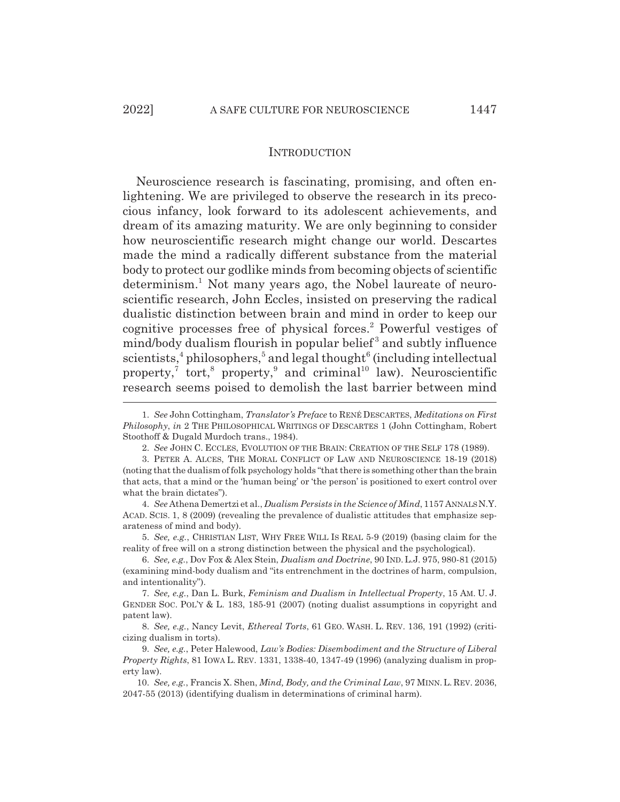#### INTRODUCTION

Neuroscience research is fascinating, promising, and often enlightening. We are privileged to observe the research in its precocious infancy, look forward to its adolescent achievements, and dream of its amazing maturity. We are only beginning to consider how neuroscientific research might change our world. Descartes made the mind a radically different substance from the material body to protect our godlike minds from becoming objects of scientific determinism.<sup>1</sup> Not many years ago, the Nobel laureate of neuroscientific research, John Eccles, insisted on preserving the radical dualistic distinction between brain and mind in order to keep our cognitive processes free of physical forces.<sup>2</sup> Powerful vestiges of mind/body dualism flourish in popular belief<sup>3</sup> and subtly influence  $s$ cientists,<sup>4</sup> philosophers,<sup>5</sup> and legal thought<sup>6</sup> (including intellectual property,<sup>7</sup> tort,<sup>8</sup> property,<sup>9</sup> and criminal<sup>10</sup> law). Neuroscientific research seems poised to demolish the last barrier between mind

5. *See, e.g.*, CHRISTIAN LIST, WHY FREE WILL IS REAL 5-9 (2019) (basing claim for the reality of free will on a strong distinction between the physical and the psychological).

<sup>1.</sup> *See* John Cottingham, *Translator's Preface* to RENÉ DESCARTES, *Meditations on First Philosophy*, *in* 2 THE PHILOSOPHICAL WRITINGS OF DESCARTES 1 (John Cottingham, Robert Stoothoff & Dugald Murdoch trans., 1984).

<sup>2.</sup> *See* JOHN C. ECCLES, EVOLUTION OF THE BRAIN: CREATION OF THE SELF 178 (1989).

<sup>3.</sup> PETER A. ALCES, THE MORAL CONFLICT OF LAW AND NEUROSCIENCE 18-19 (2018) (noting that the dualism of folk psychology holds "that there is something other than the brain that acts, that a mind or the 'human being' or 'the person' is positioned to exert control over what the brain dictates").

<sup>4.</sup> *See* Athena Demertzi et al., *Dualism Persists in the Science of Mind*, 1157 ANNALS N.Y. ACAD. SCIS. 1, 8 (2009) (revealing the prevalence of dualistic attitudes that emphasize separateness of mind and body).

<sup>6.</sup> *See, e.g.*, Dov Fox & Alex Stein, *Dualism and Doctrine*, 90 IND. L.J. 975, 980-81 (2015) (examining mind-body dualism and "its entrenchment in the doctrines of harm, compulsion, and intentionality").

<sup>7.</sup> *See, e.g.*, Dan L. Burk, *Feminism and Dualism in Intellectual Property*, 15 AM. U. J. GENDER SOC. POL'Y & L. 183, 185-91 (2007) (noting dualist assumptions in copyright and patent law).

<sup>8.</sup> *See, e.g.*, Nancy Levit, *Ethereal Torts*, 61 GEO. WASH. L. REV. 136, 191 (1992) (criticizing dualism in torts).

<sup>9.</sup> *See, e.g.*, Peter Halewood, *Law's Bodies: Disembodiment and the Structure of Liberal Property Rights*, 81 IOWA L. REV. 1331, 1338-40, 1347-49 (1996) (analyzing dualism in property law).

<sup>10.</sup> *See, e.g.*, Francis X. Shen, *Mind, Body, and the Criminal Law*, 97 MINN. L. REV. 2036, 2047-55 (2013) (identifying dualism in determinations of criminal harm).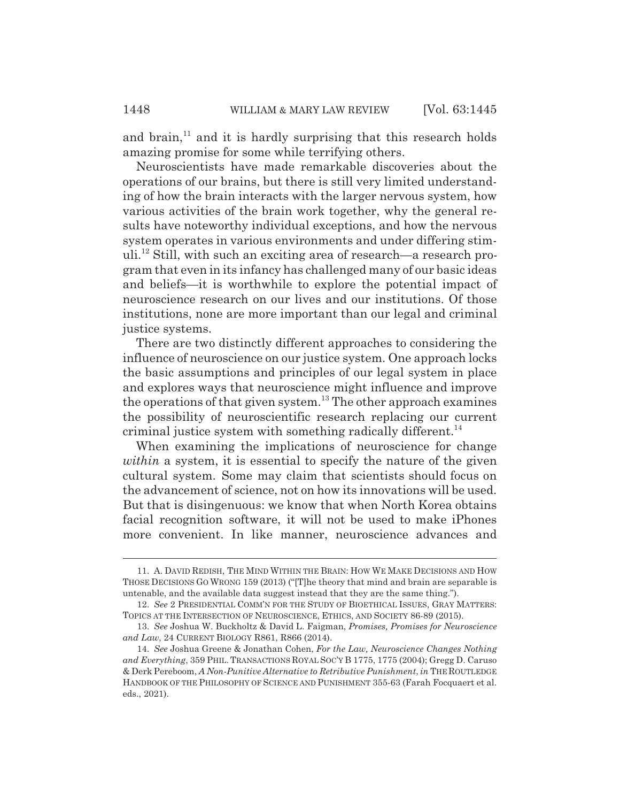and brain, $<sup>11</sup>$  and it is hardly surprising that this research holds</sup> amazing promise for some while terrifying others.

Neuroscientists have made remarkable discoveries about the operations of our brains, but there is still very limited understanding of how the brain interacts with the larger nervous system, how various activities of the brain work together, why the general results have noteworthy individual exceptions, and how the nervous system operates in various environments and under differing stimuli.12 Still, with such an exciting area of research—a research program that even in its infancy has challenged many of our basic ideas and beliefs—it is worthwhile to explore the potential impact of neuroscience research on our lives and our institutions. Of those institutions, none are more important than our legal and criminal justice systems.

There are two distinctly different approaches to considering the influence of neuroscience on our justice system. One approach locks the basic assumptions and principles of our legal system in place and explores ways that neuroscience might influence and improve the operations of that given system.<sup>13</sup> The other approach examines the possibility of neuroscientific research replacing our current criminal justice system with something radically different.<sup>14</sup>

When examining the implications of neuroscience for change *within* a system, it is essential to specify the nature of the given cultural system. Some may claim that scientists should focus on the advancement of science, not on how its innovations will be used. But that is disingenuous: we know that when North Korea obtains facial recognition software, it will not be used to make iPhones more convenient. In like manner, neuroscience advances and

<sup>11.</sup> A. DAVID REDISH, THE MIND WITHIN THE BRAIN: HOW WE MAKE DECISIONS AND HOW THOSE DECISIONS GO WRONG 159 (2013) ("[T]he theory that mind and brain are separable is untenable, and the available data suggest instead that they are the same thing.").

<sup>12.</sup> *See* 2 PRESIDENTIAL COMM'N FOR THE STUDY OF BIOETHICAL ISSUES, GRAY MATTERS: TOPICS AT THE INTERSECTION OF NEUROSCIENCE, ETHICS, AND SOCIETY 86-89 (2015).

<sup>13.</sup> *See* Joshua W. Buckholtz & David L. Faigman, *Promises, Promises for Neuroscience and Law*, 24 CURRENT BIOLOGY R861, R866 (2014).

<sup>14.</sup> *See* Joshua Greene & Jonathan Cohen, *For the Law, Neuroscience Changes Nothing and Everything*, 359 PHIL. TRANSACTIONS ROYAL SOC'Y B 1775, 1775 (2004); Gregg D. Caruso & Derk Pereboom, *A Non-Punitive Alternative to Retributive Punishment*, *in* THE ROUTLEDGE HANDBOOK OF THE PHILOSOPHY OF SCIENCE AND PUNISHMENT 355-63 (Farah Focquaert et al. eds., 2021).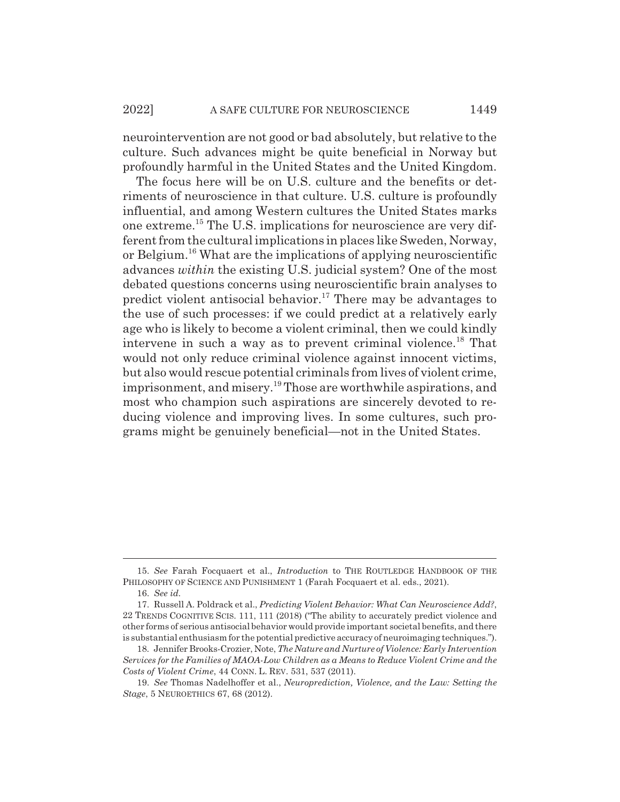neurointervention are not good or bad absolutely, but relative to the culture. Such advances might be quite beneficial in Norway but profoundly harmful in the United States and the United Kingdom.

The focus here will be on U.S. culture and the benefits or detriments of neuroscience in that culture. U.S. culture is profoundly influential, and among Western cultures the United States marks one extreme.15 The U.S. implications for neuroscience are very different from the cultural implications in places like Sweden, Norway, or Belgium.16 What are the implications of applying neuroscientific advances *within* the existing U.S. judicial system? One of the most debated questions concerns using neuroscientific brain analyses to predict violent antisocial behavior.<sup>17</sup> There may be advantages to the use of such processes: if we could predict at a relatively early age who is likely to become a violent criminal, then we could kindly intervene in such a way as to prevent criminal violence.<sup>18</sup> That would not only reduce criminal violence against innocent victims, but also would rescue potential criminals from lives of violent crime, imprisonment, and misery.<sup>19</sup> Those are worthwhile aspirations, and most who champion such aspirations are sincerely devoted to reducing violence and improving lives. In some cultures, such programs might be genuinely beneficial—not in the United States.

<sup>15.</sup> *See* Farah Focquaert et al., *Introduction* to THE ROUTLEDGE HANDBOOK OF THE PHILOSOPHY OF SCIENCE AND PUNISHMENT 1 (Farah Focquaert et al. eds., 2021).

<sup>16.</sup> *See id.*

<sup>17.</sup> Russell A. Poldrack et al., *Predicting Violent Behavior: What Can Neuroscience Add?*, 22 TRENDS COGNITIVE SCIS. 111, 111 (2018) ("The ability to accurately predict violence and other forms of serious antisocial behavior would provide important societal benefits, and there is substantial enthusiasm for the potential predictive accuracy of neuroimaging techniques.").

<sup>18.</sup> Jennifer Brooks-Crozier, Note, *The Nature and Nurture of Violence: Early Intervention Services for the Families of MAOA-Low Children as a Means to Reduce Violent Crime and the Costs of Violent Crime*, 44 CONN. L. REV. 531, 537 (2011).

<sup>19.</sup> *See* Thomas Nadelhoffer et al., *Neuroprediction, Violence, and the Law: Setting the Stage*, 5 NEUROETHICS 67, 68 (2012).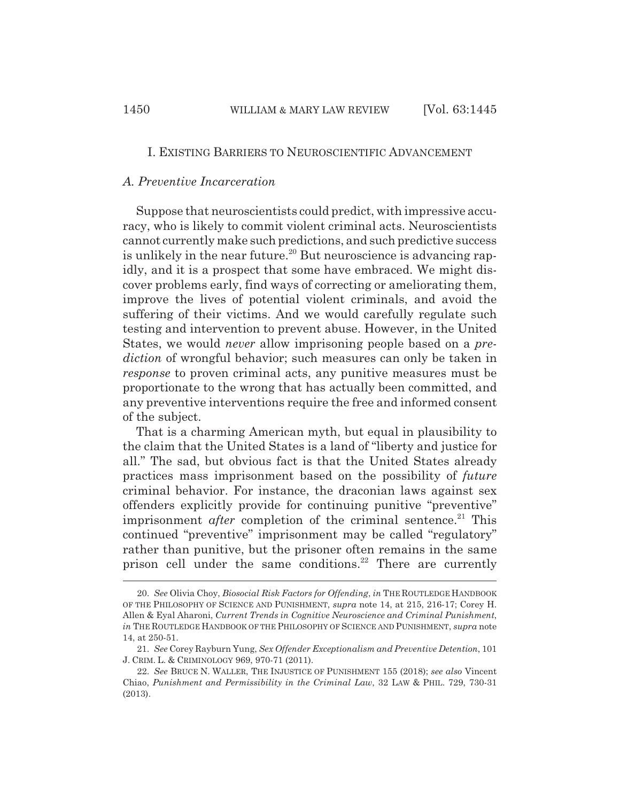#### I. EXISTING BARRIERS TO NEUROSCIENTIFIC ADVANCEMENT

# *A. Preventive Incarceration*

Suppose that neuroscientists could predict, with impressive accuracy, who is likely to commit violent criminal acts. Neuroscientists cannot currently make such predictions, and such predictive success is unlikely in the near future.<sup>20</sup> But neuroscience is advancing rapidly, and it is a prospect that some have embraced. We might discover problems early, find ways of correcting or ameliorating them, improve the lives of potential violent criminals, and avoid the suffering of their victims. And we would carefully regulate such testing and intervention to prevent abuse. However, in the United States, we would *never* allow imprisoning people based on a *prediction* of wrongful behavior; such measures can only be taken in *response* to proven criminal acts, any punitive measures must be proportionate to the wrong that has actually been committed, and any preventive interventions require the free and informed consent of the subject.

That is a charming American myth, but equal in plausibility to the claim that the United States is a land of "liberty and justice for all." The sad, but obvious fact is that the United States already practices mass imprisonment based on the possibility of *future* criminal behavior. For instance, the draconian laws against sex offenders explicitly provide for continuing punitive "preventive" imprisonment *after* completion of the criminal sentence.<sup>21</sup> This continued "preventive" imprisonment may be called "regulatory" rather than punitive, but the prisoner often remains in the same prison cell under the same conditions.<sup>22</sup> There are currently

<sup>20.</sup> *See* Olivia Choy, *Biosocial Risk Factors for Offending*, *in* THE ROUTLEDGE HANDBOOK OF THE PHILOSOPHY OF SCIENCE AND PUNISHMENT, *supra* note 14, at 215, 216-17; Corey H. Allen & Eyal Aharoni, *Current Trends in Cognitive Neuroscience and Criminal Punishment*, *in* THE ROUTLEDGE HANDBOOK OF THE PHILOSOPHY OF SCIENCE AND PUNISHMENT, *supra* note 14, at 250-51.

<sup>21.</sup> *See* Corey Rayburn Yung, *Sex Offender Exceptionalism and Preventive Detention*, 101 J. CRIM. L. & CRIMINOLOGY 969, 970-71 (2011).

<sup>22.</sup> *See* BRUCE N. WALLER, THE INJUSTICE OF PUNISHMENT 155 (2018); *see also* Vincent Chiao, *Punishment and Permissibility in the Criminal Law*, 32 LAW & PHIL. 729, 730-31 (2013).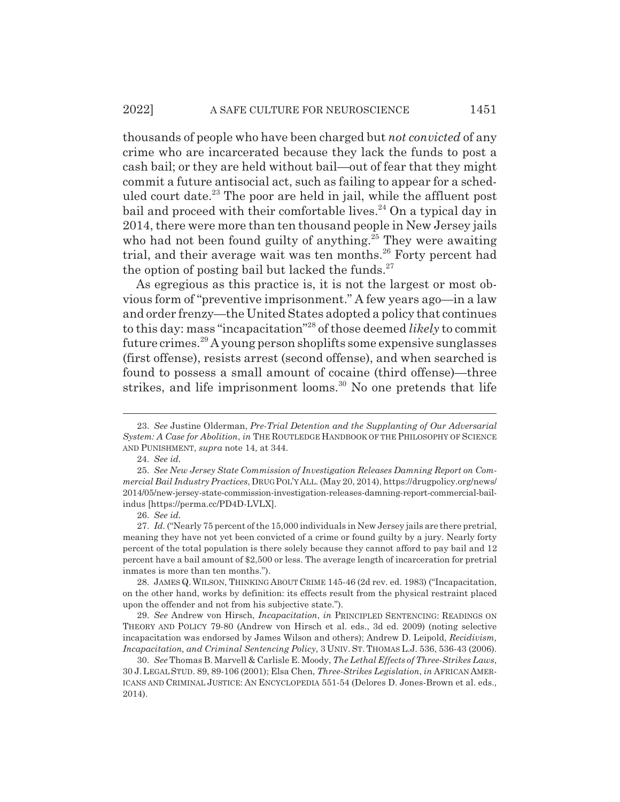thousands of people who have been charged but *not convicted* of any crime who are incarcerated because they lack the funds to post a cash bail; or they are held without bail—out of fear that they might commit a future antisocial act, such as failing to appear for a scheduled court date.<sup>23</sup> The poor are held in jail, while the affluent post bail and proceed with their comfortable lives.<sup>24</sup> On a typical day in 2014, there were more than ten thousand people in New Jersey jails who had not been found guilty of anything.<sup>25</sup> They were awaiting trial, and their average wait was ten months.<sup>26</sup> Forty percent had the option of posting bail but lacked the funds. $27$ 

As egregious as this practice is, it is not the largest or most obvious form of "preventive imprisonment." A few years ago—in a law and order frenzy—the United States adopted a policy that continues to this day: mass "incapacitation"28 of those deemed *likely* to commit future crimes.29 A young person shoplifts some expensive sunglasses (first offense), resists arrest (second offense), and when searched is found to possess a small amount of cocaine (third offense)—three strikes, and life imprisonment looms.<sup>30</sup> No one pretends that life

<sup>23.</sup> *See* Justine Olderman, *Pre-Trial Detention and the Supplanting of Our Adversarial System: A Case for Abolition*, *in* THE ROUTLEDGE HANDBOOK OF THE PHILOSOPHY OF SCIENCE AND PUNISHMENT, *supra* note 14, at 344.

<sup>24.</sup> *See id.*

<sup>25.</sup> *See New Jersey State Commission of Investigation Releases Damning Report on Commercial Bail Industry Practices*, DRUG POL'YALL. (May 20, 2014), https://drugpolicy.org/news/ 2014/05/new-jersey-state-commission-investigation-releases-damning-report-commercial-bailindus [https://perma.cc/PD4D-LVLX].

<sup>26.</sup> *See id.*

<sup>27.</sup> *Id.* ("Nearly 75 percent of the 15,000 individuals in New Jersey jails are there pretrial, meaning they have not yet been convicted of a crime or found guilty by a jury. Nearly forty percent of the total population is there solely because they cannot afford to pay bail and 12 percent have a bail amount of \$2,500 or less. The average length of incarceration for pretrial inmates is more than ten months.").

<sup>28.</sup> JAMES Q. WILSON, THINKING ABOUT CRIME 145-46 (2d rev. ed. 1983) ("Incapacitation, on the other hand, works by definition: its effects result from the physical restraint placed upon the offender and not from his subjective state.").

<sup>29.</sup> *See* Andrew von Hirsch, *Incapacitation*, *in* PRINCIPLED SENTENCING: READINGS ON THEORY AND POLICY 79-80 (Andrew von Hirsch et al. eds., 3d ed. 2009) (noting selective incapacitation was endorsed by James Wilson and others); Andrew D. Leipold, *Recidivism, Incapacitation, and Criminal Sentencing Policy*, 3 UNIV. ST. THOMAS L.J. 536, 536-43 (2006).

<sup>30.</sup> *See* Thomas B. Marvell & Carlisle E. Moody, *The Lethal Effects of Three-Strikes Laws*, 30 J.LEGAL STUD. 89, 89-106 (2001); Elsa Chen, *Three-Strikes Legislation*, *in* AFRICAN AMER-ICANS AND CRIMINAL JUSTICE: AN ENCYCLOPEDIA 551-54 (Delores D. Jones-Brown et al. eds., 2014).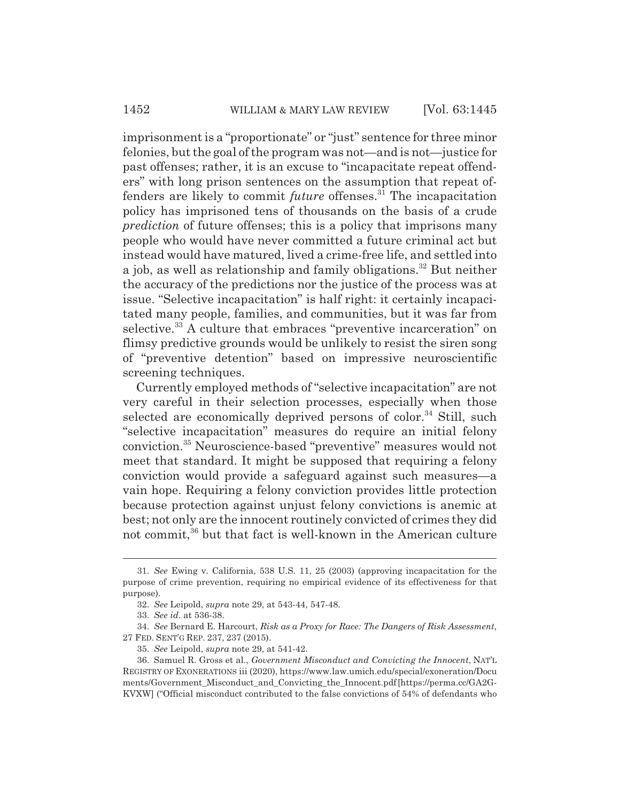imprisonment is a "proportionate" or "just" sentence for three minor felonies, but the goal of the program was not—and is not—justice for past offenses; rather, it is an excuse to "incapacitate repeat offenders" with long prison sentences on the assumption that repeat offenders are likely to commit *future* offenses.<sup>31</sup> The incapacitation policy has imprisoned tens of thousands on the basis of a crude *prediction* of future offenses; this is a policy that imprisons many people who would have never committed a future criminal act but instead would have matured, lived a crime-free life, and settled into a job, as well as relationship and family obligations.<sup>32</sup> But neither the accuracy of the predictions nor the justice of the process was at issue. "Selective incapacitation" is half right: it certainly incapacitated many people, families, and communities, but it was far from selective.<sup>33</sup> A culture that embraces "preventive incarceration" on flimsy predictive grounds would be unlikely to resist the siren song of "preventive detention" based on impressive neuroscientific screening techniques.

Currently employed methods of "selective incapacitation" are not very careful in their selection processes, especially when those selected are economically deprived persons of color.<sup>34</sup> Still, such "selective incapacitation" measures do require an initial felony conviction.35 Neuroscience-based "preventive" measures would not meet that standard. It might be supposed that requiring a felony conviction would provide a safeguard against such measures—a vain hope. Requiring a felony conviction provides little protection because protection against unjust felony convictions is anemic at best; not only are the innocent routinely convicted of crimes they did not commit,36 but that fact is well-known in the American culture

34. *See* Bernard E. Harcourt, *Risk as a Proxy for Race: The Dangers of Risk Assessment*, 27 FED. SENT'G REP. 237, 237 (2015).

<sup>31.</sup> *See* Ewing v. California, 538 U.S. 11, 25 (2003) (approving incapacitation for the purpose of crime prevention, requiring no empirical evidence of its effectiveness for that purpose).

<sup>32.</sup> *See* Leipold, *supra* note 29, at 543-44, 547-48.

<sup>33.</sup> *See id.* at 536-38.

<sup>35.</sup> *See* Leipold, *supra* note 29, at 541-42.

<sup>36.</sup> Samuel R. Gross et al., *Government Misconduct and Convicting the Innocent*, NAT'L REGISTRY OF EXONERATIONS iii (2020), https://www.law.umich.edu/special/exoneration/Docu ments/Government\_Misconduct\_and\_Convicting\_the\_Innocent.pdf [https://perma.cc/GA2G-KVXW] ("Official misconduct contributed to the false convictions of 54% of defendants who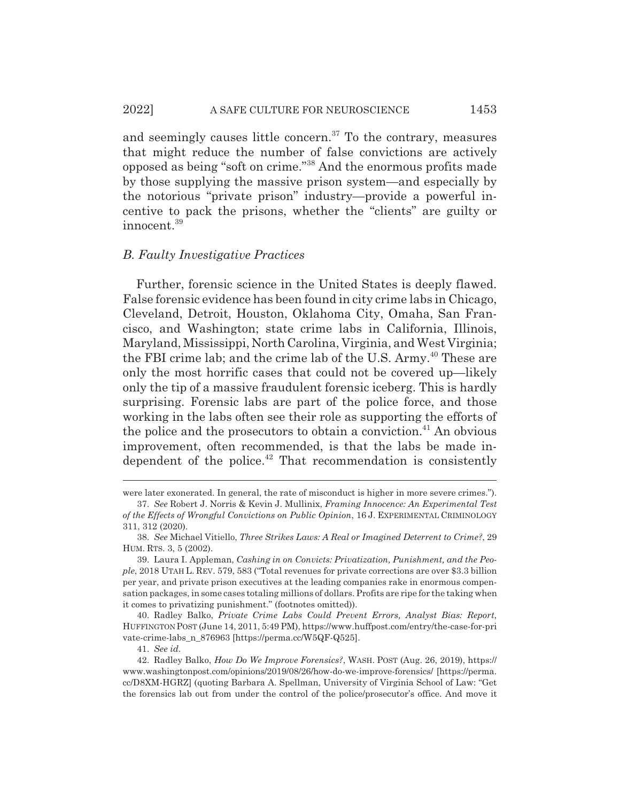and seemingly causes little concern. $37$  To the contrary, measures that might reduce the number of false convictions are actively opposed as being "soft on crime."38 And the enormous profits made by those supplying the massive prison system—and especially by the notorious "private prison" industry—provide a powerful incentive to pack the prisons, whether the "clients" are guilty or innocent.39

#### *B. Faulty Investigative Practices*

Further, forensic science in the United States is deeply flawed. False forensic evidence has been found in city crime labs in Chicago, Cleveland, Detroit, Houston, Oklahoma City, Omaha, San Francisco, and Washington; state crime labs in California, Illinois, Maryland, Mississippi, North Carolina, Virginia, and West Virginia; the FBI crime lab; and the crime lab of the U.S. Army.<sup>40</sup> These are only the most horrific cases that could not be covered up—likely only the tip of a massive fraudulent forensic iceberg. This is hardly surprising. Forensic labs are part of the police force, and those working in the labs often see their role as supporting the efforts of the police and the prosecutors to obtain a conviction.<sup>41</sup> An obvious improvement, often recommended, is that the labs be made independent of the police. $42$  That recommendation is consistently

were later exonerated. In general, the rate of misconduct is higher in more severe crimes.").

<sup>37.</sup> *See* Robert J. Norris & Kevin J. Mullinix, *Framing Innocence: An Experimental Test of the Effects of Wrongful Convictions on Public Opinion*, 16 J. EXPERIMENTAL CRIMINOLOGY 311, 312 (2020).

<sup>38.</sup> *See* Michael Vitiello, *Three Strikes Laws: A Real or Imagined Deterrent to Crime?*, 29 HUM. RTS. 3, 5 (2002).

<sup>39.</sup> Laura I. Appleman, *Cashing in on Convicts: Privatization, Punishment, and the People*, 2018 UTAH L. REV. 579, 583 ("Total revenues for private corrections are over \$3.3 billion per year, and private prison executives at the leading companies rake in enormous compensation packages, in some cases totaling millions of dollars. Profits are ripe for the taking when it comes to privatizing punishment." (footnotes omitted)).

<sup>40.</sup> Radley Balko, *Private Crime Labs Could Prevent Errors, Analyst Bias: Report*, HUFFINGTON POST (June 14, 2011, 5:49 PM), https://www.huffpost.com/entry/the-case-for-pri vate-crime-labs\_n\_876963 [https://perma.cc/W5QF-Q525].

<sup>41.</sup> *See id.*

<sup>42.</sup> Radley Balko, *How Do We Improve Forensics?*, WASH. POST (Aug. 26, 2019), https:// www.washingtonpost.com/opinions/2019/08/26/how-do-we-improve-forensics/ [https://perma. cc/D8XM-HGRZ] (quoting Barbara A. Spellman, University of Virginia School of Law: "Get the forensics lab out from under the control of the police/prosecutor's office. And move it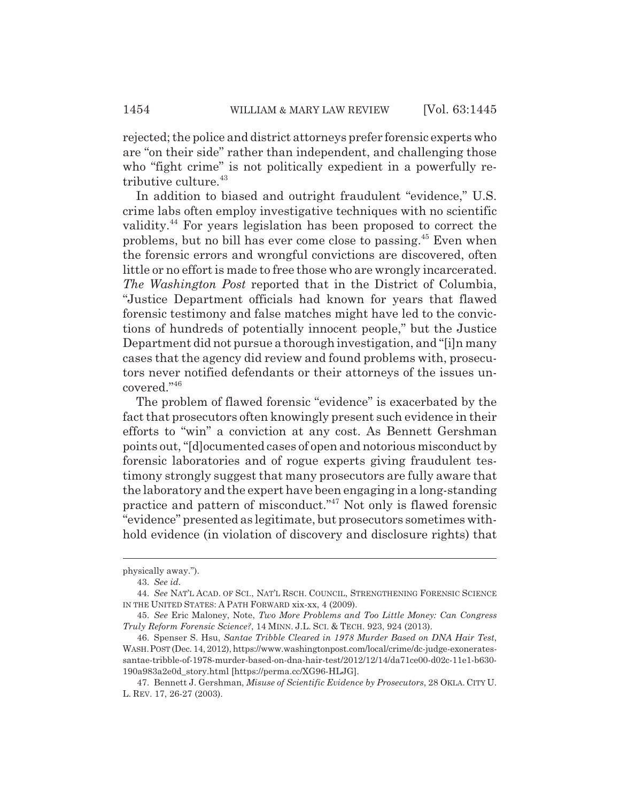rejected; the police and district attorneys prefer forensic experts who are "on their side" rather than independent, and challenging those who "fight crime" is not politically expedient in a powerfully retributive culture.<sup>43</sup>

In addition to biased and outright fraudulent "evidence," U.S. crime labs often employ investigative techniques with no scientific validity.44 For years legislation has been proposed to correct the problems, but no bill has ever come close to passing.45 Even when the forensic errors and wrongful convictions are discovered, often little or no effort is made to free those who are wrongly incarcerated. *The Washington Post* reported that in the District of Columbia, "Justice Department officials had known for years that flawed forensic testimony and false matches might have led to the convictions of hundreds of potentially innocent people," but the Justice Department did not pursue a thorough investigation, and "[i]n many cases that the agency did review and found problems with, prosecutors never notified defendants or their attorneys of the issues uncovered."46

The problem of flawed forensic "evidence" is exacerbated by the fact that prosecutors often knowingly present such evidence in their efforts to "win" a conviction at any cost. As Bennett Gershman points out, "[d]ocumented cases of open and notorious misconduct by forensic laboratories and of rogue experts giving fraudulent testimony strongly suggest that many prosecutors are fully aware that the laboratory and the expert have been engaging in a long-standing practice and pattern of misconduct."47 Not only is flawed forensic "evidence" presented as legitimate, but prosecutors sometimes withhold evidence (in violation of discovery and disclosure rights) that

physically away.").

<sup>43.</sup> *See id.*

<sup>44.</sup> *See* NAT'L ACAD. OF SCI., NAT'L RSCH. COUNCIL, STRENGTHENING FORENSIC SCIENCE IN THE UNITED STATES: A PATH FORWARD xix-xx, 4 (2009).

<sup>45.</sup> *See* Eric Maloney, Note, *Two More Problems and Too Little Money: Can Congress Truly Reform Forensic Science?*, 14 MINN. J.L. SCI.&TECH. 923, 924 (2013).

<sup>46.</sup> Spenser S. Hsu, *Santae Tribble Cleared in 1978 Murder Based on DNA Hair Test*, WASH.POST (Dec. 14, 2012), https://www.washingtonpost.com/local/crime/dc-judge-exoneratessantae-tribble-of-1978-murder-based-on-dna-hair-test/2012/12/14/da71ce00-d02c-11e1-b630- 190a983a2e0d\_story.html [https://perma.cc/XG96-HLJG].

<sup>47.</sup> Bennett J. Gershman, *Misuse of Scientific Evidence by Prosecutors*, 28 OKLA. CITY U. L. REV. 17, 26-27 (2003).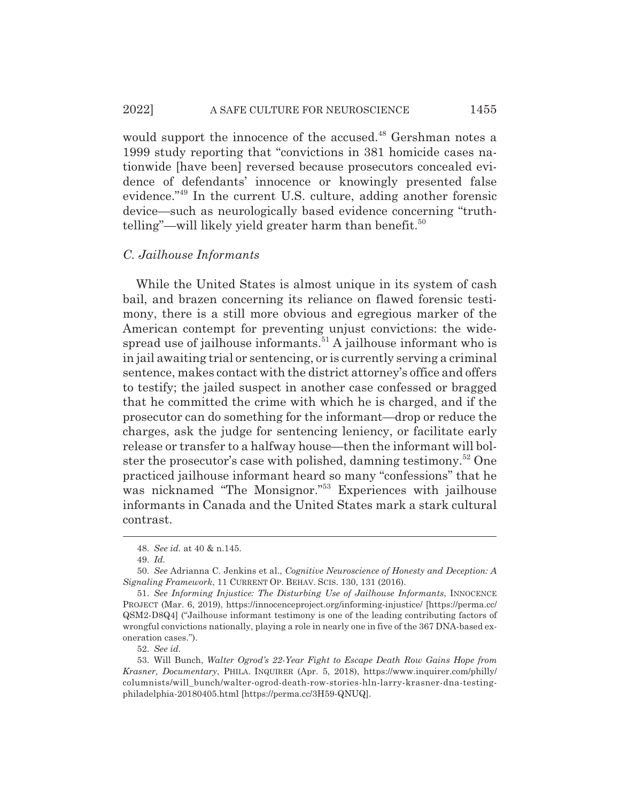#### 2022] A SAFE CULTURE FOR NEUROSCIENCE 1455

would support the innocence of the accused.<sup>48</sup> Gershman notes a 1999 study reporting that "convictions in 381 homicide cases nationwide [have been] reversed because prosecutors concealed evidence of defendants' innocence or knowingly presented false evidence."49 In the current U.S. culture, adding another forensic device—such as neurologically based evidence concerning "truthtelling"—will likely yield greater harm than benefit.<sup>50</sup>

#### *C. Jailhouse Informants*

While the United States is almost unique in its system of cash bail, and brazen concerning its reliance on flawed forensic testimony, there is a still more obvious and egregious marker of the American contempt for preventing unjust convictions: the widespread use of jailhouse informants.<sup>51</sup> A jailhouse informant who is in jail awaiting trial or sentencing, or is currently serving a criminal sentence, makes contact with the district attorney's office and offers to testify; the jailed suspect in another case confessed or bragged that he committed the crime with which he is charged, and if the prosecutor can do something for the informant—drop or reduce the charges, ask the judge for sentencing leniency, or facilitate early release or transfer to a halfway house—then the informant will bolster the prosecutor's case with polished, damning testimony.52 One practiced jailhouse informant heard so many "confessions" that he was nicknamed "The Monsignor."<sup>53</sup> Experiences with jailhouse informants in Canada and the United States mark a stark cultural contrast.

52. *See id.*

<sup>48.</sup> *See id.* at 40 & n.145.

<sup>49.</sup> *Id.*

<sup>50.</sup> *See* Adrianna C. Jenkins et al., *Cognitive Neuroscience of Honesty and Deception: A Signaling Framework*, 11 CURRENT OP. BEHAV. SCIS. 130, 131 (2016).

<sup>51.</sup> *See Informing Injustice: The Disturbing Use of Jailhouse Informants*, INNOCENCE PROJECT (Mar. 6, 2019), https://innocenceproject.org/informing-injustice/ [https://perma.cc/ QSM2-D8Q4] ("Jailhouse informant testimony is one of the leading contributing factors of wrongful convictions nationally, playing a role in nearly one in five of the 367 DNA-based exoneration cases.").

<sup>53.</sup> Will Bunch, *Walter Ogrod's 22-Year Fight to Escape Death Row Gains Hope from Krasner, Documentary*, PHILA. INQUIRER (Apr. 5, 2018), https://www.inquirer.com/philly/ columnists/will\_bunch/walter-ogrod-death-row-stories-hln-larry-krasner-dna-testingphiladelphia-20180405.html [https://perma.cc/3H59-QNUQ].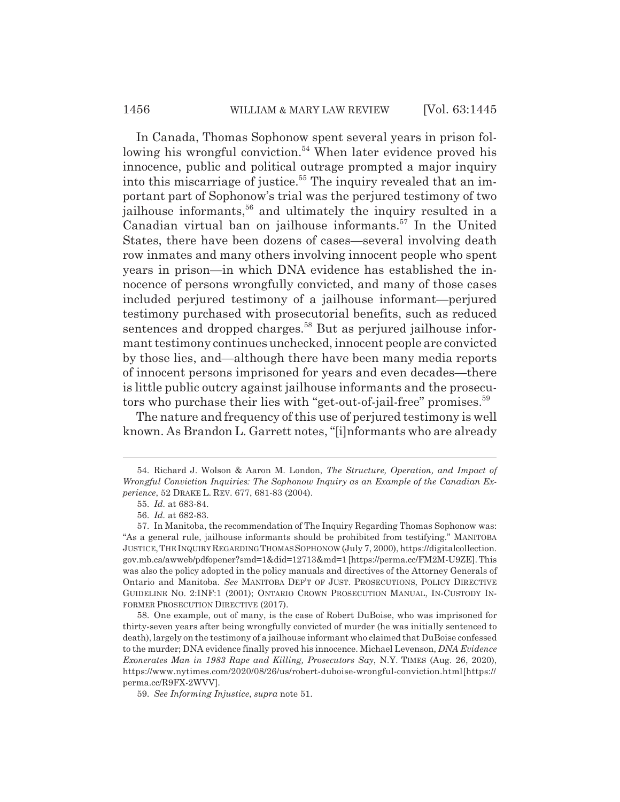In Canada, Thomas Sophonow spent several years in prison following his wrongful conviction.<sup>54</sup> When later evidence proved his innocence, public and political outrage prompted a major inquiry into this miscarriage of justice.<sup>55</sup> The inquiry revealed that an important part of Sophonow's trial was the perjured testimony of two jailhouse informants,<sup>56</sup> and ultimately the inquiry resulted in a Canadian virtual ban on jailhouse informants.57 In the United States, there have been dozens of cases—several involving death row inmates and many others involving innocent people who spent years in prison—in which DNA evidence has established the innocence of persons wrongfully convicted, and many of those cases included perjured testimony of a jailhouse informant—perjured testimony purchased with prosecutorial benefits, such as reduced sentences and dropped charges.<sup>58</sup> But as perjured jailhouse informant testimony continues unchecked, innocent people are convicted by those lies, and—although there have been many media reports of innocent persons imprisoned for years and even decades—there is little public outcry against jailhouse informants and the prosecutors who purchase their lies with "get-out-of-jail-free" promises.<sup>59</sup>

The nature and frequency of this use of perjured testimony is well known. As Brandon L. Garrett notes, "[i]nformants who are already

<sup>54.</sup> Richard J. Wolson & Aaron M. London, *The Structure, Operation, and Impact of Wrongful Conviction Inquiries: The Sophonow Inquiry as an Example of the Canadian Experience*, 52 DRAKE L. REV. 677, 681-83 (2004).

<sup>55.</sup> *Id.* at 683-84.

<sup>56.</sup> *Id.* at 682-83.

<sup>57.</sup> In Manitoba, the recommendation of The Inquiry Regarding Thomas Sophonow was: "As a general rule, jailhouse informants should be prohibited from testifying." MANITOBA JUSTICE,THE INQUIRY REGARDING THOMASSOPHONOW (July 7, 2000), https://digitalcollection. gov.mb.ca/awweb/pdfopener?smd=1&did=12713&md=1 [https://perma.cc/FM2M-U9ZE]. This was also the policy adopted in the policy manuals and directives of the Attorney Generals of Ontario and Manitoba. *See* MANITOBA DEP'T OF JUST. PROSECUTIONS, POLICY DIRECTIVE GUIDELINE NO. 2:INF:1 (2001); ONTARIO CROWN PROSECUTION MANUAL, IN-CUSTODY IN-FORMER PROSECUTION DIRECTIVE (2017).

<sup>58.</sup> One example, out of many, is the case of Robert DuBoise, who was imprisoned for thirty-seven years after being wrongfully convicted of murder (he was initially sentenced to death), largely on the testimony of a jailhouse informant who claimed that DuBoise confessed to the murder; DNA evidence finally proved his innocence. Michael Levenson, *DNA Evidence Exonerates Man in 1983 Rape and Killing, Prosecutors Say*, N.Y. TIMES (Aug. 26, 2020), https://www.nytimes.com/2020/08/26/us/robert-duboise-wrongful-conviction.html [https:// perma.cc/R9FX-2WVV].

<sup>59.</sup> *See Informing Injustice*, *supra* note 51.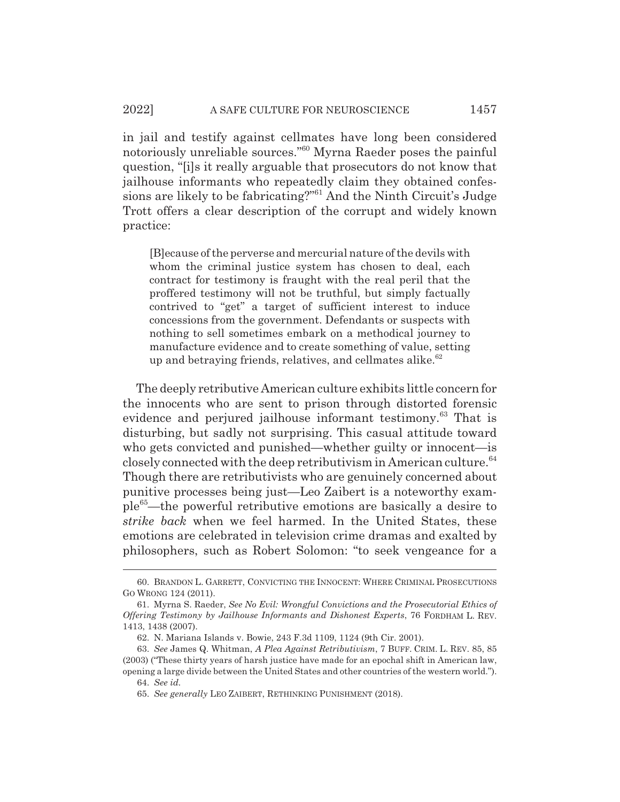in jail and testify against cellmates have long been considered notoriously unreliable sources."60 Myrna Raeder poses the painful question, "[i]s it really arguable that prosecutors do not know that jailhouse informants who repeatedly claim they obtained confessions are likely to be fabricating?"61 And the Ninth Circuit's Judge Trott offers a clear description of the corrupt and widely known practice:

[B]ecause of the perverse and mercurial nature of the devils with whom the criminal justice system has chosen to deal, each contract for testimony is fraught with the real peril that the proffered testimony will not be truthful, but simply factually contrived to "get" a target of sufficient interest to induce concessions from the government. Defendants or suspects with nothing to sell sometimes embark on a methodical journey to manufacture evidence and to create something of value, setting up and betraying friends, relatives, and cellmates alike. $62$ 

The deeply retributive American culture exhibits little concern for the innocents who are sent to prison through distorted forensic evidence and perjured jailhouse informant testimony.<sup>63</sup> That is disturbing, but sadly not surprising. This casual attitude toward who gets convicted and punished—whether guilty or innocent—is closely connected with the deep retributivism in American culture. $64$ Though there are retributivists who are genuinely concerned about punitive processes being just—Leo Zaibert is a noteworthy example65—the powerful retributive emotions are basically a desire to *strike back* when we feel harmed. In the United States, these emotions are celebrated in television crime dramas and exalted by philosophers, such as Robert Solomon: "to seek vengeance for a

<sup>60.</sup> BRANDON L. GARRETT, CONVICTING THE INNOCENT: WHERE CRIMINAL PROSECUTIONS GO WRONG 124 (2011).

<sup>61.</sup> Myrna S. Raeder, *See No Evil: Wrongful Convictions and the Prosecutorial Ethics of Offering Testimony by Jailhouse Informants and Dishonest Experts*, 76 FORDHAM L. REV. 1413, 1438 (2007).

<sup>62.</sup> N. Mariana Islands v. Bowie, 243 F.3d 1109, 1124 (9th Cir. 2001).

<sup>63.</sup> *See* James Q. Whitman, *A Plea Against Retributivism*, 7 BUFF. CRIM. L. REV. 85, 85 (2003) ("These thirty years of harsh justice have made for an epochal shift in American law, opening a large divide between the United States and other countries of the western world.").

<sup>64.</sup> *See id.*

<sup>65.</sup> *See generally* LEO ZAIBERT, RETHINKING PUNISHMENT (2018).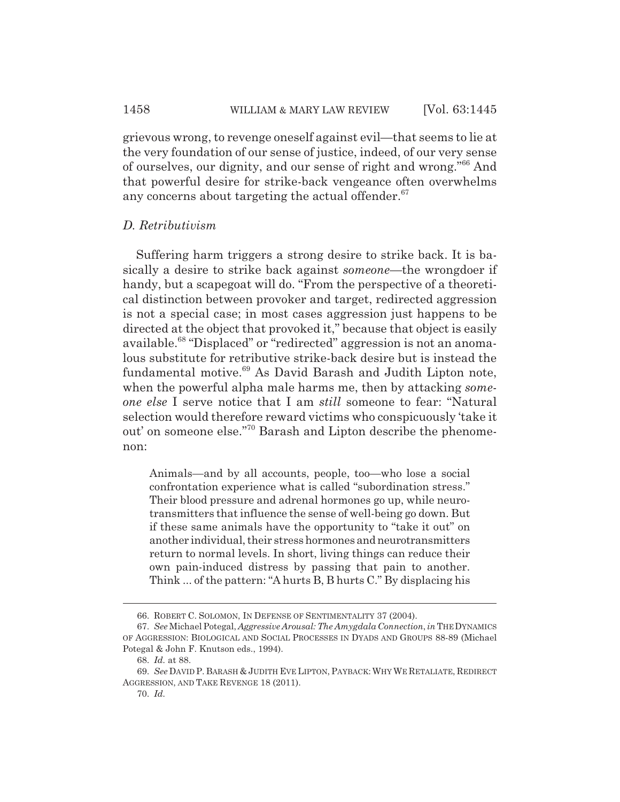grievous wrong, to revenge oneself against evil—that seems to lie at the very foundation of our sense of justice, indeed, of our very sense of ourselves, our dignity, and our sense of right and wrong."66 And that powerful desire for strike-back vengeance often overwhelms any concerns about targeting the actual offender. $67$ 

# *D. Retributivism*

Suffering harm triggers a strong desire to strike back. It is basically a desire to strike back against *someone*—the wrongdoer if handy, but a scapegoat will do. "From the perspective of a theoretical distinction between provoker and target, redirected aggression is not a special case; in most cases aggression just happens to be directed at the object that provoked it," because that object is easily available.<sup>68</sup> "Displaced" or "redirected" aggression is not an anomalous substitute for retributive strike-back desire but is instead the fundamental motive.<sup>69</sup> As David Barash and Judith Lipton note, when the powerful alpha male harms me, then by attacking *someone else* I serve notice that I am *still* someone to fear: "Natural selection would therefore reward victims who conspicuously 'take it out' on someone else."70 Barash and Lipton describe the phenomenon:

Animals—and by all accounts, people, too—who lose a social confrontation experience what is called "subordination stress." Their blood pressure and adrenal hormones go up, while neurotransmitters that influence the sense of well-being go down. But if these same animals have the opportunity to "take it out" on another individual, their stress hormones and neurotransmitters return to normal levels. In short, living things can reduce their own pain-induced distress by passing that pain to another. Think ... of the pattern: "A hurts B, B hurts C." By displacing his

<sup>66.</sup> ROBERT C. SOLOMON, IN DEFENSE OF SENTIMENTALITY 37 (2004).

<sup>67.</sup> *See* Michael Potegal, *Aggressive Arousal: The Amygdala Connection*, *in* THE DYNAMICS OF AGGRESSION: BIOLOGICAL AND SOCIAL PROCESSES IN DYADS AND GROUPS 88-89 (Michael Potegal & John F. Knutson eds., 1994).

<sup>68.</sup> *Id.* at 88.

<sup>69.</sup> *See* DAVID P. BARASH & JUDITH EVE LIPTON, PAYBACK: WHY WE RETALIATE, REDIRECT AGGRESSION, AND TAKE REVENGE 18 (2011).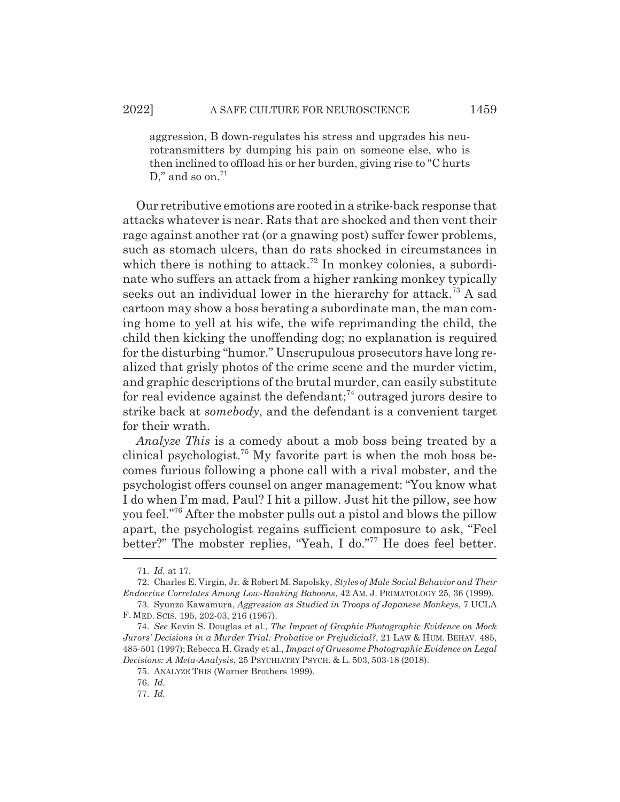aggression, B down-regulates his stress and upgrades his neurotransmitters by dumping his pain on someone else, who is then inclined to offload his or her burden, giving rise to "C hurts D," and so on. $71$ 

Our retributive emotions are rooted in a strike-back response that attacks whatever is near. Rats that are shocked and then vent their rage against another rat (or a gnawing post) suffer fewer problems, such as stomach ulcers, than do rats shocked in circumstances in which there is nothing to attack.<sup>72</sup> In monkey colonies, a subordinate who suffers an attack from a higher ranking monkey typically seeks out an individual lower in the hierarchy for attack.<sup>73</sup> A sad cartoon may show a boss berating a subordinate man, the man coming home to yell at his wife, the wife reprimanding the child, the child then kicking the unoffending dog; no explanation is required for the disturbing "humor." Unscrupulous prosecutors have long realized that grisly photos of the crime scene and the murder victim, and graphic descriptions of the brutal murder, can easily substitute for real evidence against the defendant;<sup> $74$ </sup> outraged jurors desire to strike back at *somebody*, and the defendant is a convenient target for their wrath.

*Analyze This* is a comedy about a mob boss being treated by a clinical psychologist.<sup>75</sup> My favorite part is when the mob boss becomes furious following a phone call with a rival mobster, and the psychologist offers counsel on anger management: "You know what I do when I'm mad, Paul? I hit a pillow. Just hit the pillow, see how you feel."76 After the mobster pulls out a pistol and blows the pillow apart, the psychologist regains sufficient composure to ask, "Feel better?" The mobster replies, "Yeah, I do."77 He does feel better.

<sup>71.</sup> *Id.* at 17.

<sup>72.</sup> Charles E. Virgin, Jr. & Robert M. Sapolsky, *Styles of Male Social Behavior and Their Endocrine Correlates Among Low-Ranking Baboons*, 42 AM. J. PRIMATOLOGY 25, 36 (1999).

<sup>73.</sup> Syunzo Kawamura, *Aggression as Studied in Troops of Japanese Monkeys*, 7 UCLA F. MED. SCIS. 195, 202-03, 216 (1967).

<sup>74.</sup> *See* Kevin S. Douglas et al., *The Impact of Graphic Photographic Evidence on Mock Jurors' Decisions in a Murder Trial: Probative or Prejudicial?*, 21 LAW & HUM. BEHAV. 485, 485-501 (1997); Rebecca H. Grady et al., *Impact of Gruesome Photographic Evidence on Legal Decisions: A Meta-Analysis*, 25 PSYCHIATRY PSYCH. & L. 503, 503-18 (2018).

<sup>75.</sup> ANALYZE THIS (Warner Brothers 1999).

<sup>76.</sup> *Id.*

<sup>77.</sup> *Id.*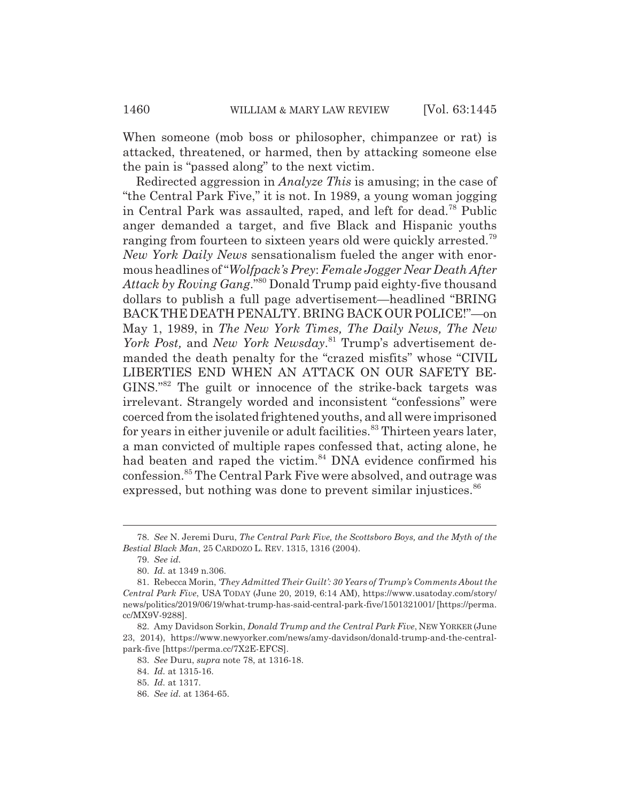When someone (mob boss or philosopher, chimpanzee or rat) is attacked, threatened, or harmed, then by attacking someone else the pain is "passed along" to the next victim.

Redirected aggression in *Analyze This* is amusing; in the case of "the Central Park Five," it is not. In 1989, a young woman jogging in Central Park was assaulted, raped, and left for dead.78 Public anger demanded a target, and five Black and Hispanic youths ranging from fourteen to sixteen years old were quickly arrested.<sup>79</sup> *New York Daily News* sensationalism fueled the anger with enormous headlines of "*Wolfpack's Prey*: *Female Jogger Near Death After Attack by Roving Gang*."80 Donald Trump paid eighty-five thousand dollars to publish a full page advertisement—headlined "BRING BACK THE DEATH PENALTY. BRING BACK OUR POLICE!"—on May 1, 1989, in *The New York Times, The Daily News, The New York Post,* and *New York Newsday*. 81 Trump's advertisement demanded the death penalty for the "crazed misfits" whose "CIVIL LIBERTIES END WHEN AN ATTACK ON OUR SAFETY BE-GINS."82 The guilt or innocence of the strike-back targets was irrelevant. Strangely worded and inconsistent "confessions" were coerced from the isolated frightened youths, and all were imprisoned for years in either juvenile or adult facilities.<sup>83</sup> Thirteen years later, a man convicted of multiple rapes confessed that, acting alone, he had beaten and raped the victim.<sup>84</sup> DNA evidence confirmed his confession.85 The Central Park Five were absolved, and outrage was expressed, but nothing was done to prevent similar injustices. $86$ 

<sup>78.</sup> *See* N. Jeremi Duru, *The Central Park Five, the Scottsboro Boys, and the Myth of the Bestial Black Man*, 25 CARDOZO L. REV. 1315, 1316 (2004).

<sup>79.</sup> *See id.*

<sup>80.</sup> *Id.* at 1349 n.306.

<sup>81.</sup> Rebecca Morin, *'They Admitted Their Guilt': 30 Years of Trump's Comments About the Central Park Five*, USA TODAY (June 20, 2019, 6:14 AM), https://www.usatoday.com/story/ news/politics/2019/06/19/what-trump-has-said-central-park-five/1501321001/ [https://perma. cc/MX9V-9288].

<sup>82.</sup> Amy Davidson Sorkin, *Donald Trump and the Central Park Five*, NEW YORKER (June 23, 2014), https://www.newyorker.com/news/amy-davidson/donald-trump-and-the-centralpark-five [https://perma.cc/7X2E-EFCS].

<sup>83.</sup> *See* Duru, *supra* note 78, at 1316-18.

<sup>84.</sup> *Id.* at 1315-16.

<sup>85.</sup> *Id.* at 1317.

<sup>86.</sup> *See id.* at 1364-65.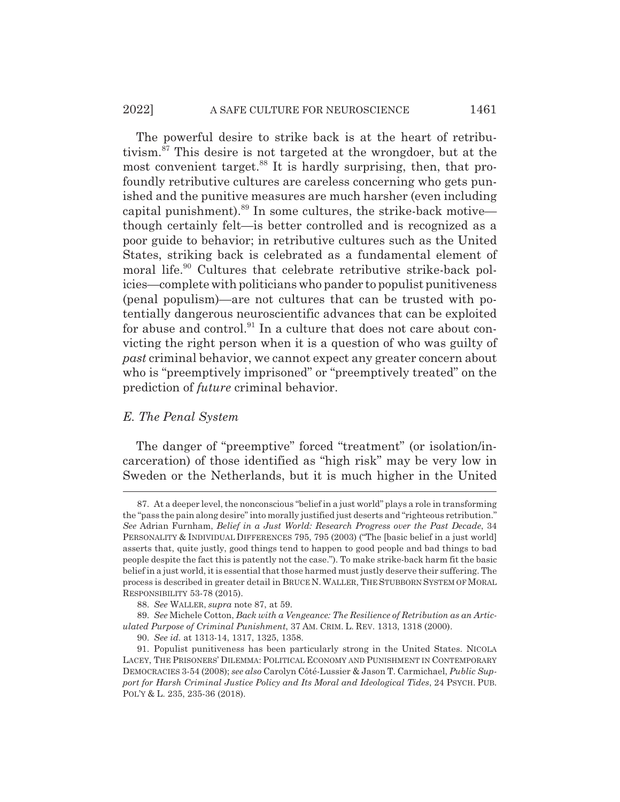The powerful desire to strike back is at the heart of retributivism.87 This desire is not targeted at the wrongdoer, but at the most convenient target.<sup>88</sup> It is hardly surprising, then, that profoundly retributive cultures are careless concerning who gets punished and the punitive measures are much harsher (even including capital punishment). $89$  In some cultures, the strike-back motive though certainly felt—is better controlled and is recognized as a poor guide to behavior; in retributive cultures such as the United States, striking back is celebrated as a fundamental element of moral life.<sup>90</sup> Cultures that celebrate retributive strike-back policies—complete with politicians who pander to populist punitiveness (penal populism)—are not cultures that can be trusted with potentially dangerous neuroscientific advances that can be exploited for abuse and control. $91$  In a culture that does not care about convicting the right person when it is a question of who was guilty of *past* criminal behavior, we cannot expect any greater concern about who is "preemptively imprisoned" or "preemptively treated" on the prediction of *future* criminal behavior.

# *E. The Penal System*

The danger of "preemptive" forced "treatment" (or isolation/incarceration) of those identified as "high risk" may be very low in Sweden or the Netherlands, but it is much higher in the United

<sup>87.</sup> At a deeper level, the nonconscious "belief in a just world" plays a role in transforming the "pass the pain along desire" into morally justified just deserts and "righteous retribution." *See* Adrian Furnham, *Belief in a Just World: Research Progress over the Past Decade*, 34 PERSONALITY & INDIVIDUAL DIFFERENCES 795, 795 (2003) ("The [basic belief in a just world] asserts that, quite justly, good things tend to happen to good people and bad things to bad people despite the fact this is patently not the case."). To make strike-back harm fit the basic belief in a just world, it is essential that those harmed must justly deserve their suffering. The process is described in greater detail in BRUCE N. WALLER, THE STUBBORN SYSTEM OF MORAL RESPONSIBILITY 53-78 (2015).

<sup>88.</sup> *See* WALLER, *supra* note 87, at 59.

<sup>89.</sup> *See* Michele Cotton, *Back with a Vengeance: The Resilience of Retribution as an Articulated Purpose of Criminal Punishment*, 37 AM. CRIM. L. REV. 1313, 1318 (2000).

<sup>90.</sup> *See id.* at 1313-14, 1317, 1325, 1358.

<sup>91.</sup> Populist punitiveness has been particularly strong in the United States. NICOLA LACEY, THE PRISONERS' DILEMMA: POLITICAL ECONOMY AND PUNISHMENT IN CONTEMPORARY DEMOCRACIES 3-54 (2008); *see also* Carolyn Côté-Lussier & Jason T. Carmichael, *Public Support for Harsh Criminal Justice Policy and Its Moral and Ideological Tides*, 24 PSYCH. PUB. POL'Y & L. 235, 235-36 (2018).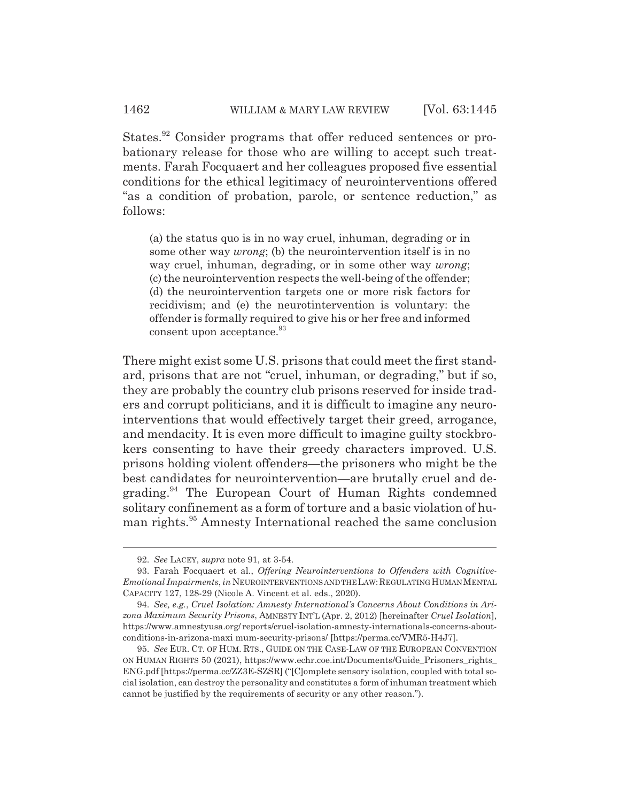States.<sup>92</sup> Consider programs that offer reduced sentences or probationary release for those who are willing to accept such treatments. Farah Focquaert and her colleagues proposed five essential conditions for the ethical legitimacy of neurointerventions offered "as a condition of probation, parole, or sentence reduction," as follows:

(a) the status quo is in no way cruel, inhuman, degrading or in some other way *wrong*; (b) the neurointervention itself is in no way cruel, inhuman, degrading, or in some other way *wrong*; (c) the neurointervention respects the well-being of the offender; (d) the neurointervention targets one or more risk factors for recidivism; and (e) the neurotintervention is voluntary: the offender is formally required to give his or her free and informed consent upon acceptance.<sup>93</sup>

There might exist some U.S. prisons that could meet the first standard, prisons that are not "cruel, inhuman, or degrading," but if so, they are probably the country club prisons reserved for inside traders and corrupt politicians, and it is difficult to imagine any neurointerventions that would effectively target their greed, arrogance, and mendacity. It is even more difficult to imagine guilty stockbrokers consenting to have their greedy characters improved. U.S. prisons holding violent offenders—the prisoners who might be the best candidates for neurointervention—are brutally cruel and degrading.94 The European Court of Human Rights condemned solitary confinement as a form of torture and a basic violation of human rights.<sup>95</sup> Amnesty International reached the same conclusion

<sup>92.</sup> *See* LACEY, *supra* note 91, at 3-54.

<sup>93.</sup> Farah Focquaert et al., *Offering Neurointerventions to Offenders with Cognitive-Emotional Impairments*, *in* NEUROINTERVENTIONS AND THE LAW:REGULATING HUMAN MENTAL CAPACITY 127, 128-29 (Nicole A. Vincent et al. eds., 2020).

<sup>94.</sup> *See, e.g.*, *Cruel Isolation: Amnesty International's Concerns About Conditions in Arizona Maximum Security Prisons*, AMNESTY INT'L (Apr. 2, 2012) [hereinafter *Cruel Isolation*], https://www.amnestyusa.org/ reports/cruel-isolation-amnesty-internationals-concerns-aboutconditions-in-arizona-maxi mum-security-prisons/ [https://perma.cc/VMR5-H4J7].

<sup>95.</sup> *See* EUR. CT. OF HUM. RTS., GUIDE ON THE CASE-LAW OF THE EUROPEAN CONVENTION ON HUMAN RIGHTS 50 (2021), https://www.echr.coe.int/Documents/Guide\_Prisoners\_rights\_ ENG.pdf [https://perma.cc/ZZ3E-SZSR] ("[C]omplete sensory isolation, coupled with total social isolation, can destroy the personality and constitutes a form of inhuman treatment which cannot be justified by the requirements of security or any other reason.").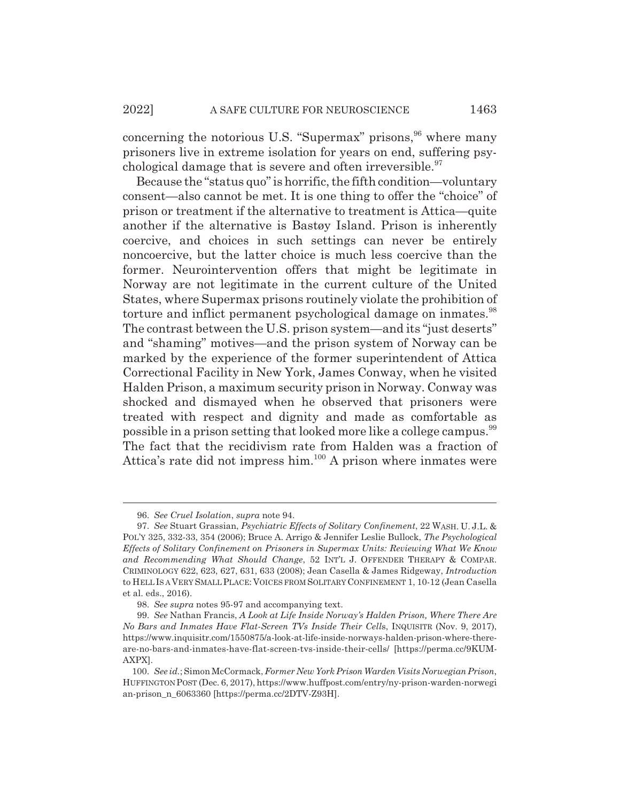concerning the notorious U.S. "Supermax" prisons,  $96$  where many prisoners live in extreme isolation for years on end, suffering psychological damage that is severe and often irreversible.<sup>97</sup>

Because the "status quo" is horrific, the fifth condition—voluntary consent—also cannot be met. It is one thing to offer the "choice" of prison or treatment if the alternative to treatment is Attica—quite another if the alternative is Bastøy Island. Prison is inherently coercive, and choices in such settings can never be entirely noncoercive, but the latter choice is much less coercive than the former. Neurointervention offers that might be legitimate in Norway are not legitimate in the current culture of the United States, where Supermax prisons routinely violate the prohibition of torture and inflict permanent psychological damage on inmates.<sup>98</sup> The contrast between the U.S. prison system—and its "just deserts" and "shaming" motives—and the prison system of Norway can be marked by the experience of the former superintendent of Attica Correctional Facility in New York, James Conway, when he visited Halden Prison, a maximum security prison in Norway. Conway was shocked and dismayed when he observed that prisoners were treated with respect and dignity and made as comfortable as possible in a prison setting that looked more like a college campus.<sup>99</sup> The fact that the recidivism rate from Halden was a fraction of Attica's rate did not impress him.<sup>100</sup> A prison where inmates were

<sup>96.</sup> *See Cruel Isolation*, *supra* note 94.

<sup>97.</sup> *See* Stuart Grassian, *Psychiatric Effects of Solitary Confinement*, 22 WASH. U. J.L. & POL'Y 325, 332-33, 354 (2006); Bruce A. Arrigo & Jennifer Leslie Bullock, *The Psychological Effects of Solitary Confinement on Prisoners in Supermax Units: Reviewing What We Know and Recommending What Should Change*, 52 INT'L J. OFFENDER THERAPY & COMPAR. CRIMINOLOGY 622, 623, 627, 631, 633 (2008); Jean Casella & James Ridgeway, *Introduction* to HELL IS A VERY SMALL PLACE: VOICES FROM SOLITARY CONFINEMENT 1, 10-12 (Jean Casella et al. eds., 2016).

<sup>98.</sup> *See supra* notes 95-97 and accompanying text.

<sup>99.</sup> *See* Nathan Francis, *A Look at Life Inside Norway's Halden Prison, Where There Are No Bars and Inmates Have Flat-Screen TVs Inside Their Cell*s, INQUISITR (Nov. 9, 2017), https://www.inquisitr.com/1550875/a-look-at-life-inside-norways-halden-prison-where-thereare-no-bars-and-inmates-have-flat-screen-tvs-inside-their-cells/ [https://perma.cc/9KUM-AXPX].

<sup>100.</sup> *See id.*; Simon McCormack, *Former New York Prison Warden Visits Norwegian Prison*, HUFFINGTON POST (Dec. 6, 2017), https://www.huffpost.com/entry/ny-prison-warden-norwegi an-prison\_n\_6063360 [https://perma.cc/2DTV-Z93H].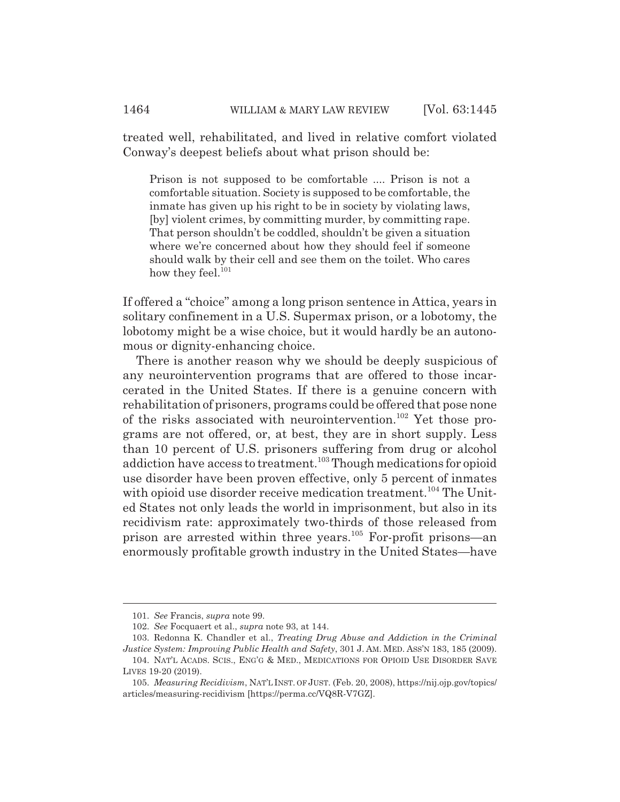treated well, rehabilitated, and lived in relative comfort violated Conway's deepest beliefs about what prison should be:

Prison is not supposed to be comfortable .... Prison is not a comfortable situation. Society is supposed to be comfortable, the inmate has given up his right to be in society by violating laws, [by] violent crimes, by committing murder, by committing rape. That person shouldn't be coddled, shouldn't be given a situation where we're concerned about how they should feel if someone should walk by their cell and see them on the toilet. Who cares how they feel.<sup>101</sup>

If offered a "choice" among a long prison sentence in Attica, years in solitary confinement in a U.S. Supermax prison, or a lobotomy, the lobotomy might be a wise choice, but it would hardly be an autonomous or dignity-enhancing choice.

There is another reason why we should be deeply suspicious of any neurointervention programs that are offered to those incarcerated in the United States. If there is a genuine concern with rehabilitation of prisoners, programs could be offered that pose none of the risks associated with neurointervention.102 Yet those programs are not offered, or, at best, they are in short supply. Less than 10 percent of U.S. prisoners suffering from drug or alcohol addiction have access to treatment.<sup>103</sup> Though medications for opioid use disorder have been proven effective, only 5 percent of inmates with opioid use disorder receive medication treatment.<sup>104</sup> The United States not only leads the world in imprisonment, but also in its recidivism rate: approximately two-thirds of those released from prison are arrested within three years.105 For-profit prisons—an enormously profitable growth industry in the United States—have

<sup>101.</sup> *See* Francis, *supra* note 99.

<sup>102.</sup> *See* Focquaert et al., *supra* note 93, at 144.

<sup>103.</sup> Redonna K. Chandler et al., *Treating Drug Abuse and Addiction in the Criminal Justice System: Improving Public Health and Safety*, 301 J. AM. MED. ASS'N 183, 185 (2009).

<sup>104.</sup> NAT'L ACADS. SCIS., ENG'G & MED., MEDICATIONS FOR OPIOID USE DISORDER SAVE LIVES 19-20 (2019).

<sup>105.</sup> *Measuring Recidivism*, NAT'L INST. OF JUST. (Feb. 20, 2008), https://nij.ojp.gov/topics/ articles/measuring-recidivism [https://perma.cc/VQ8R-V7GZ].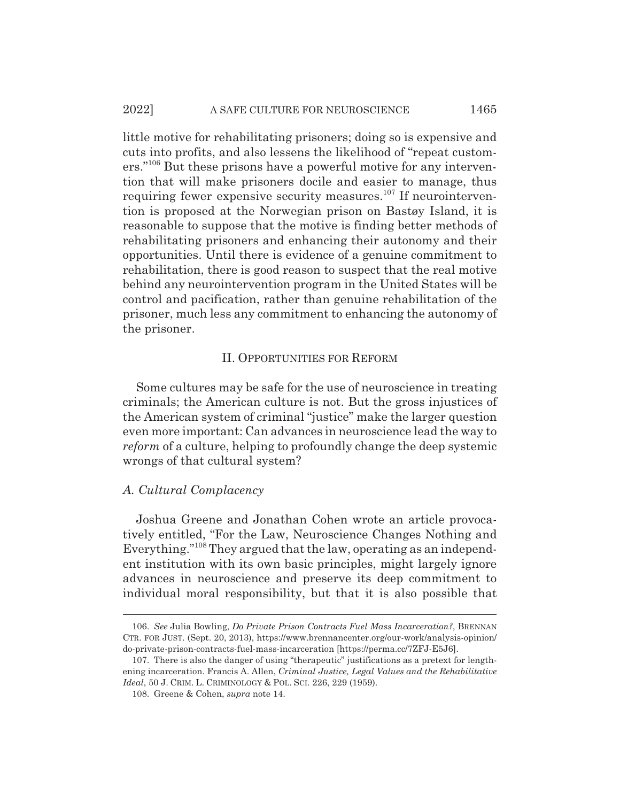little motive for rehabilitating prisoners; doing so is expensive and cuts into profits, and also lessens the likelihood of "repeat customers."106 But these prisons have a powerful motive for any intervention that will make prisoners docile and easier to manage, thus requiring fewer expensive security measures.<sup>107</sup> If neurointervention is proposed at the Norwegian prison on Bastøy Island, it is reasonable to suppose that the motive is finding better methods of rehabilitating prisoners and enhancing their autonomy and their opportunities. Until there is evidence of a genuine commitment to rehabilitation, there is good reason to suspect that the real motive behind any neurointervention program in the United States will be control and pacification, rather than genuine rehabilitation of the prisoner, much less any commitment to enhancing the autonomy of the prisoner.

## II. OPPORTUNITIES FOR REFORM

Some cultures may be safe for the use of neuroscience in treating criminals; the American culture is not. But the gross injustices of the American system of criminal "justice" make the larger question even more important: Can advances in neuroscience lead the way to *reform* of a culture, helping to profoundly change the deep systemic wrongs of that cultural system?

## *A. Cultural Complacency*

Joshua Greene and Jonathan Cohen wrote an article provocatively entitled, "For the Law, Neuroscience Changes Nothing and Everything."108 They argued that the law, operating as an independent institution with its own basic principles, might largely ignore advances in neuroscience and preserve its deep commitment to individual moral responsibility, but that it is also possible that

<sup>106.</sup> *See* Julia Bowling, *Do Private Prison Contracts Fuel Mass Incarceration?*, BRENNAN CTR. FOR JUST. (Sept. 20, 2013), https://www.brennancenter.org/our-work/analysis-opinion/ do-private-prison-contracts-fuel-mass-incarceration [https://perma.cc/7ZFJ-E5J6].

<sup>107.</sup> There is also the danger of using "therapeutic" justifications as a pretext for lengthening incarceration. Francis A. Allen, *Criminal Justice, Legal Values and the Rehabilitative Ideal*, 50 J. CRIM. L. CRIMINOLOGY & POL. SCI. 226, 229 (1959).

<sup>108.</sup> Greene & Cohen, *supra* note 14.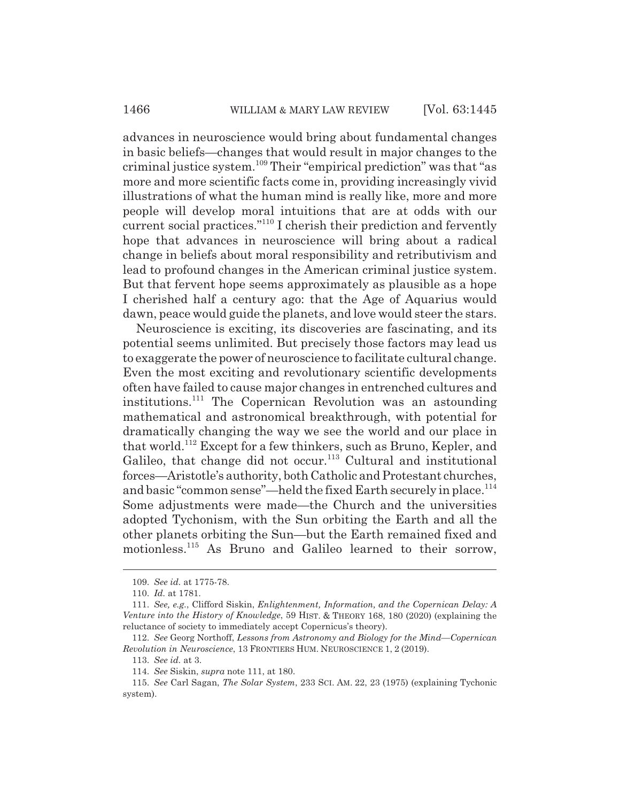advances in neuroscience would bring about fundamental changes in basic beliefs—changes that would result in major changes to the criminal justice system.109 Their "empirical prediction" was that "as more and more scientific facts come in, providing increasingly vivid illustrations of what the human mind is really like, more and more people will develop moral intuitions that are at odds with our current social practices."110 I cherish their prediction and fervently hope that advances in neuroscience will bring about a radical change in beliefs about moral responsibility and retributivism and lead to profound changes in the American criminal justice system. But that fervent hope seems approximately as plausible as a hope I cherished half a century ago: that the Age of Aquarius would dawn, peace would guide the planets, and love would steer the stars.

Neuroscience is exciting, its discoveries are fascinating, and its potential seems unlimited. But precisely those factors may lead us to exaggerate the power of neuroscience to facilitate cultural change. Even the most exciting and revolutionary scientific developments often have failed to cause major changes in entrenched cultures and institutions.111 The Copernican Revolution was an astounding mathematical and astronomical breakthrough, with potential for dramatically changing the way we see the world and our place in that world.112 Except for a few thinkers, such as Bruno, Kepler, and Galileo, that change did not occur.<sup>113</sup> Cultural and institutional forces—Aristotle's authority, both Catholic and Protestant churches, and basic "common sense"—held the fixed Earth securely in place.<sup>114</sup> Some adjustments were made—the Church and the universities adopted Tychonism, with the Sun orbiting the Earth and all the other planets orbiting the Sun—but the Earth remained fixed and motionless.<sup>115</sup> As Bruno and Galileo learned to their sorrow,

<sup>109.</sup> *See id.* at 1775-78.

<sup>110.</sup> *Id.* at 1781.

<sup>111.</sup> *See, e.g.*, Clifford Siskin, *Enlightenment, Information, and the Copernican Delay: A Venture into the History of Knowledge*, 59 HIST.&THEORY 168, 180 (2020) (explaining the reluctance of society to immediately accept Copernicus's theory).

<sup>112.</sup> *See* Georg Northoff, *Lessons from Astronomy and Biology for the Mind—Copernican Revolution in Neuroscience*, 13 FRONTIERS HUM. NEUROSCIENCE 1, 2 (2019).

<sup>113.</sup> *See id.* at 3.

<sup>114.</sup> *See* Siskin, *supra* note 111, at 180.

<sup>115.</sup> *See* Carl Sagan, *The Solar System*, 233 SCI. AM. 22, 23 (1975) (explaining Tychonic system).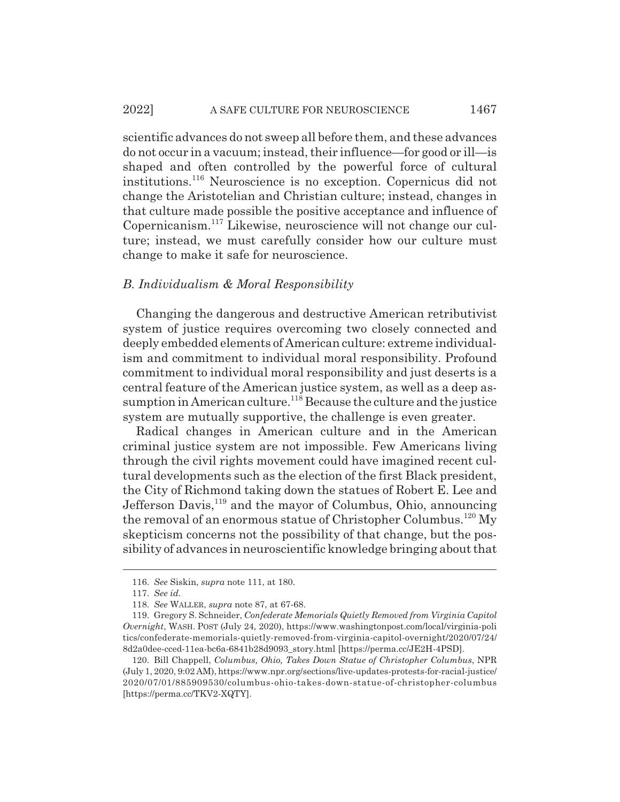scientific advances do not sweep all before them, and these advances do not occur in a vacuum; instead, their influence—for good or ill—is shaped and often controlled by the powerful force of cultural institutions.116 Neuroscience is no exception. Copernicus did not change the Aristotelian and Christian culture; instead, changes in that culture made possible the positive acceptance and influence of Copernicanism.117 Likewise, neuroscience will not change our culture; instead, we must carefully consider how our culture must change to make it safe for neuroscience.

# *B. Individualism & Moral Responsibility*

Changing the dangerous and destructive American retributivist system of justice requires overcoming two closely connected and deeply embedded elements of American culture: extreme individualism and commitment to individual moral responsibility. Profound commitment to individual moral responsibility and just deserts is a central feature of the American justice system, as well as a deep assumption in American culture.<sup>118</sup> Because the culture and the justice system are mutually supportive, the challenge is even greater.

Radical changes in American culture and in the American criminal justice system are not impossible. Few Americans living through the civil rights movement could have imagined recent cultural developments such as the election of the first Black president, the City of Richmond taking down the statues of Robert E. Lee and Jefferson Davis,<sup>119</sup> and the mayor of Columbus, Ohio, announcing the removal of an enormous statue of Christopher Columbus.<sup>120</sup> My skepticism concerns not the possibility of that change, but the possibility of advances in neuroscientific knowledge bringing about that

<sup>116.</sup> *See* Siskin, *supra* note 111, at 180.

<sup>117.</sup> *See id.*

<sup>118.</sup> *See* WALLER, *supra* note 87, at 67-68.

<sup>119.</sup> Gregory S. Schneider, *Confederate Memorials Quietly Removed from Virginia Capitol Overnight*, WASH. POST (July 24, 2020), https://www.washingtonpost.com/local/virginia-poli tics/confederate-memorials-quietly-removed-from-virginia-capitol-overnight/2020/07/24/ 8d2a0dee-cced-11ea-bc6a-6841b28d9093\_story.html [https://perma.cc/JE2H-4PSD].

<sup>120.</sup> Bill Chappell, *Columbus, Ohio, Takes Down Statue of Christopher Columbus*, NPR (July 1, 2020, 9:02 AM), https://www.npr.org/sections/live-updates-protests-for-racial-justice/ 2020/07/01/885909530/columbus-ohio-takes-down-statue-of-christopher-columbus [https://perma.cc/TKV2-XQTY].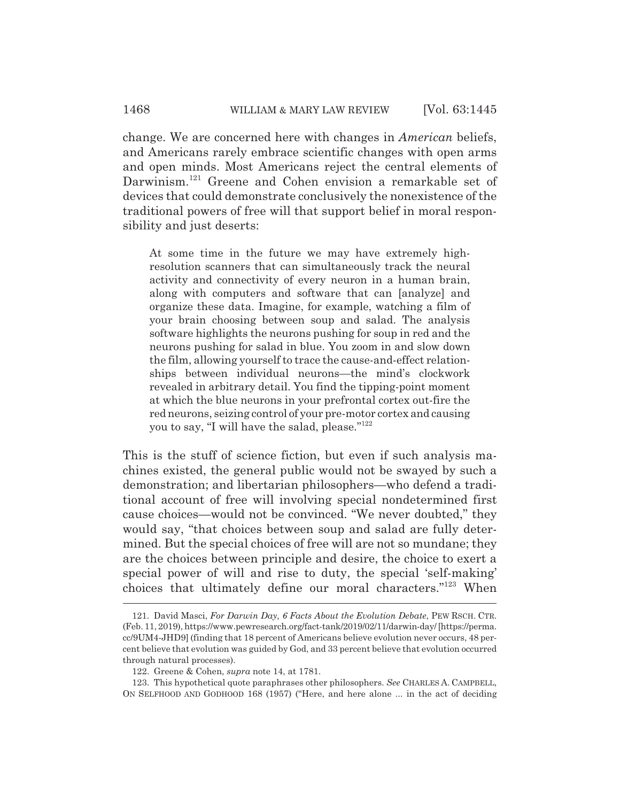change. We are concerned here with changes in *American* beliefs, and Americans rarely embrace scientific changes with open arms and open minds. Most Americans reject the central elements of Darwinism.<sup>121</sup> Greene and Cohen envision a remarkable set of devices that could demonstrate conclusively the nonexistence of the traditional powers of free will that support belief in moral responsibility and just deserts:

At some time in the future we may have extremely highresolution scanners that can simultaneously track the neural activity and connectivity of every neuron in a human brain, along with computers and software that can [analyze] and organize these data. Imagine, for example, watching a film of your brain choosing between soup and salad. The analysis software highlights the neurons pushing for soup in red and the neurons pushing for salad in blue. You zoom in and slow down the film, allowing yourself to trace the cause-and-effect relationships between individual neurons—the mind's clockwork revealed in arbitrary detail. You find the tipping-point moment at which the blue neurons in your prefrontal cortex out-fire the red neurons, seizing control of your pre-motor cortex and causing you to say, "I will have the salad, please."122

This is the stuff of science fiction, but even if such analysis machines existed, the general public would not be swayed by such a demonstration; and libertarian philosophers—who defend a traditional account of free will involving special nondetermined first cause choices—would not be convinced. "We never doubted," they would say, "that choices between soup and salad are fully determined. But the special choices of free will are not so mundane; they are the choices between principle and desire, the choice to exert a special power of will and rise to duty, the special 'self-making' choices that ultimately define our moral characters."123 When

<sup>121.</sup> David Masci, *For Darwin Day, 6 Facts About the Evolution Debate*, PEW RSCH. CTR. (Feb. 11, 2019), https://www.pewresearch.org/fact-tank/2019/02/11/darwin-day/ [https://perma. cc/9UM4-JHD9] (finding that 18 percent of Americans believe evolution never occurs, 48 percent believe that evolution was guided by God, and 33 percent believe that evolution occurred through natural processes).

<sup>122.</sup> Greene & Cohen, *supra* note 14, at 1781.

<sup>123.</sup> This hypothetical quote paraphrases other philosophers. *See* CHARLES A. CAMPBELL, ON SELFHOOD AND GODHOOD 168 (1957) ("Here, and here alone ... in the act of deciding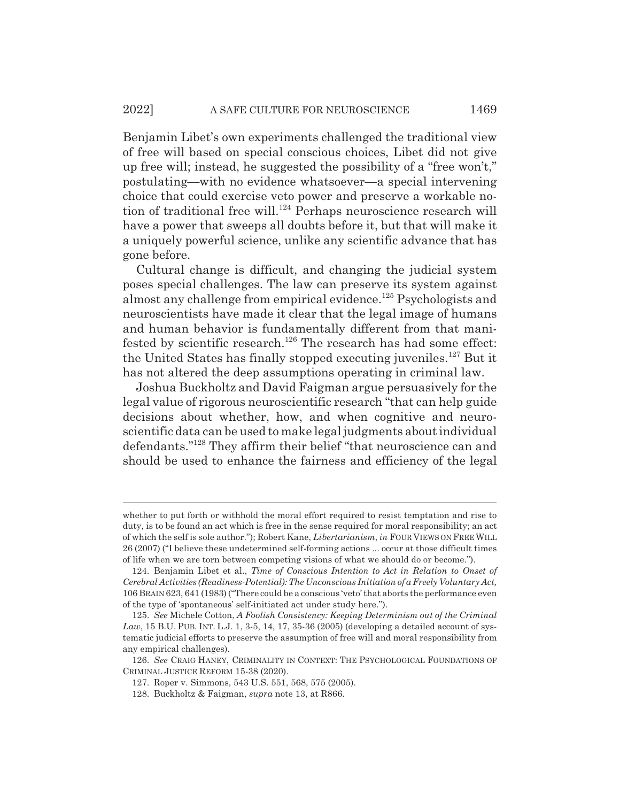Benjamin Libet's own experiments challenged the traditional view of free will based on special conscious choices, Libet did not give up free will; instead, he suggested the possibility of a "free won't," postulating—with no evidence whatsoever—a special intervening choice that could exercise veto power and preserve a workable notion of traditional free will.<sup>124</sup> Perhaps neuroscience research will have a power that sweeps all doubts before it, but that will make it a uniquely powerful science, unlike any scientific advance that has gone before.

Cultural change is difficult, and changing the judicial system poses special challenges. The law can preserve its system against almost any challenge from empirical evidence.125 Psychologists and neuroscientists have made it clear that the legal image of humans and human behavior is fundamentally different from that manifested by scientific research.<sup>126</sup> The research has had some effect: the United States has finally stopped executing juveniles.<sup>127</sup> But it has not altered the deep assumptions operating in criminal law.

Joshua Buckholtz and David Faigman argue persuasively for the legal value of rigorous neuroscientific research "that can help guide decisions about whether, how, and when cognitive and neuroscientific data can be used to make legal judgments about individual defendants."128 They affirm their belief "that neuroscience can and should be used to enhance the fairness and efficiency of the legal

whether to put forth or withhold the moral effort required to resist temptation and rise to duty, is to be found an act which is free in the sense required for moral responsibility; an act of which the self is sole author."); Robert Kane, *Libertarianism*, *in* FOUR VIEWS ON FREEWILL 26 (2007) ("I believe these undetermined self-forming actions ... occur at those difficult times of life when we are torn between competing visions of what we should do or become.").

<sup>124.</sup> Benjamin Libet et al., *Time of Conscious Intention to Act in Relation to Onset of Cerebral Activities (Readiness-Potential): The Unconscious Initiation of a Freely Voluntary Act,* 106 BRAIN 623, 641 (1983) ("There could be a conscious 'veto' that aborts the performance even of the type of 'spontaneous' self-initiated act under study here.").

<sup>125.</sup> *See* Michele Cotton, *A Foolish Consistency: Keeping Determinism out of the Criminal* Law, 15 B.U. PUB. INT. L.J. 1, 3-5, 14, 17, 35-36 (2005) (developing a detailed account of systematic judicial efforts to preserve the assumption of free will and moral responsibility from any empirical challenges).

<sup>126.</sup> *See* CRAIG HANEY, CRIMINALITY IN CONTEXT: THE PSYCHOLOGICAL FOUNDATIONS OF CRIMINAL JUSTICE REFORM 15-38 (2020).

<sup>127.</sup> Roper v. Simmons, 543 U.S. 551, 568, 575 (2005).

<sup>128.</sup> Buckholtz & Faigman, *supra* note 13, at R866.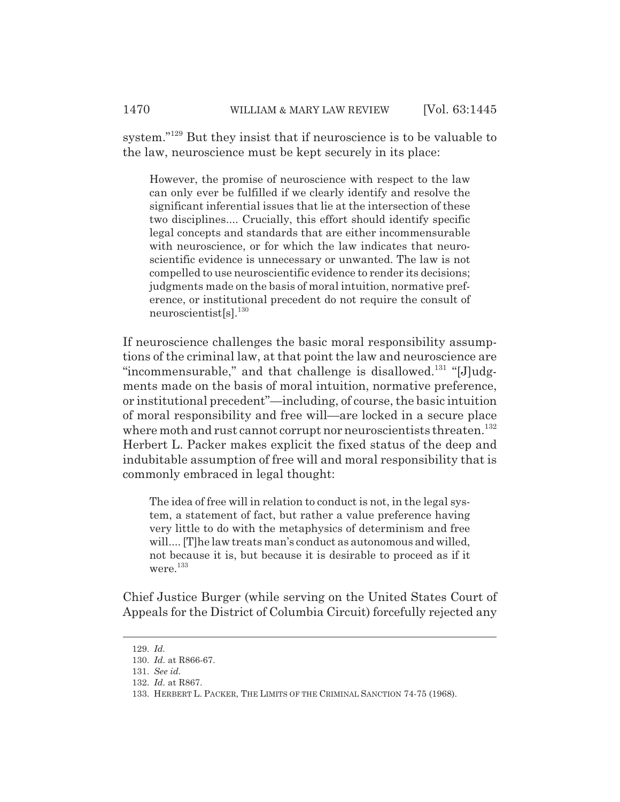system."129 But they insist that if neuroscience is to be valuable to the law, neuroscience must be kept securely in its place:

However, the promise of neuroscience with respect to the law can only ever be fulfilled if we clearly identify and resolve the significant inferential issues that lie at the intersection of these two disciplines.... Crucially, this effort should identify specific legal concepts and standards that are either incommensurable with neuroscience, or for which the law indicates that neuroscientific evidence is unnecessary or unwanted. The law is not compelled to use neuroscientific evidence to render its decisions; judgments made on the basis of moral intuition, normative preference, or institutional precedent do not require the consult of neuroscientist[s].130

If neuroscience challenges the basic moral responsibility assumptions of the criminal law, at that point the law and neuroscience are "incommensurable," and that challenge is disallowed.<sup>131</sup> "[J]udgments made on the basis of moral intuition, normative preference, or institutional precedent"—including, of course, the basic intuition of moral responsibility and free will—are locked in a secure place where moth and rust cannot corrupt nor neuroscientists threaten.<sup>132</sup> Herbert L. Packer makes explicit the fixed status of the deep and indubitable assumption of free will and moral responsibility that is commonly embraced in legal thought:

The idea of free will in relation to conduct is not, in the legal system, a statement of fact, but rather a value preference having very little to do with the metaphysics of determinism and free will.... [T]he law treats man's conduct as autonomous and willed, not because it is, but because it is desirable to proceed as if it were.<sup>133</sup>

Chief Justice Burger (while serving on the United States Court of Appeals for the District of Columbia Circuit) forcefully rejected any

<sup>129.</sup> *Id.*

<sup>130.</sup> *Id.* at R866-67.

<sup>131.</sup> *See id.*

<sup>132.</sup> *Id.* at R867.

<sup>133.</sup> HERBERT L. PACKER, THE LIMITS OF THE CRIMINAL SANCTION 74-75 (1968).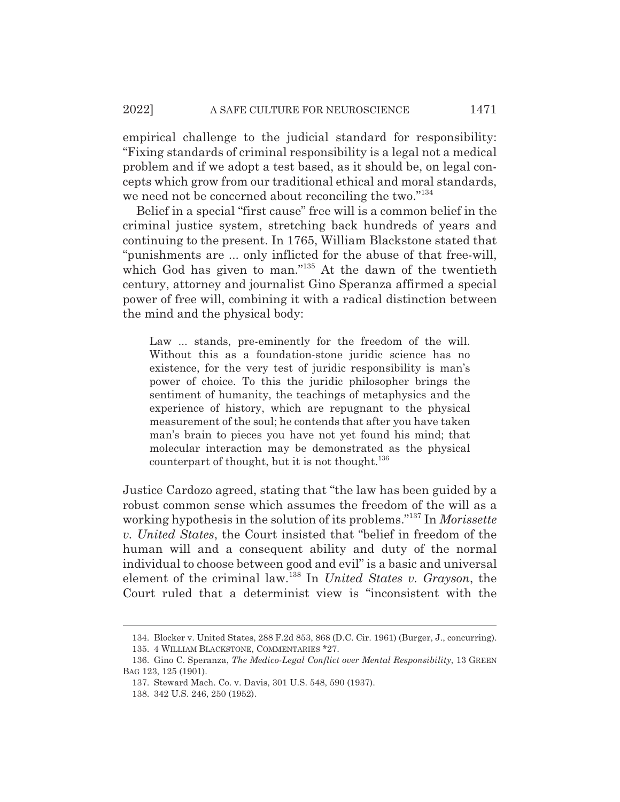#### 2022] A SAFE CULTURE FOR NEUROSCIENCE 1471

empirical challenge to the judicial standard for responsibility: "Fixing standards of criminal responsibility is a legal not a medical problem and if we adopt a test based, as it should be, on legal concepts which grow from our traditional ethical and moral standards, we need not be concerned about reconciling the two."<sup>134</sup>

Belief in a special "first cause" free will is a common belief in the criminal justice system, stretching back hundreds of years and continuing to the present. In 1765, William Blackstone stated that "punishments are ... only inflicted for the abuse of that free-will, which God has given to man."<sup>135</sup> At the dawn of the twentieth century, attorney and journalist Gino Speranza affirmed a special power of free will, combining it with a radical distinction between the mind and the physical body:

Law ... stands, pre-eminently for the freedom of the will. Without this as a foundation-stone juridic science has no existence, for the very test of juridic responsibility is man's power of choice. To this the juridic philosopher brings the sentiment of humanity, the teachings of metaphysics and the experience of history, which are repugnant to the physical measurement of the soul; he contends that after you have taken man's brain to pieces you have not yet found his mind; that molecular interaction may be demonstrated as the physical counterpart of thought, but it is not thought.<sup>136</sup>

Justice Cardozo agreed, stating that "the law has been guided by a robust common sense which assumes the freedom of the will as a working hypothesis in the solution of its problems."137 In *Morissette v. United States*, the Court insisted that "belief in freedom of the human will and a consequent ability and duty of the normal individual to choose between good and evil" is a basic and universal element of the criminal law.138 In *United States v. Grayson*, the Court ruled that a determinist view is "inconsistent with the

<sup>134.</sup> Blocker v. United States, 288 F.2d 853, 868 (D.C. Cir. 1961) (Burger, J., concurring). 135. 4 WILLIAM BLACKSTONE, COMMENTARIES \*27.

<sup>136.</sup> Gino C. Speranza, *The Medico-Legal Conflict over Mental Responsibility*, 13 GREEN BAG 123, 125 (1901).

<sup>137.</sup> Steward Mach. Co. v. Davis, 301 U.S. 548, 590 (1937).

<sup>138. 342</sup> U.S. 246, 250 (1952).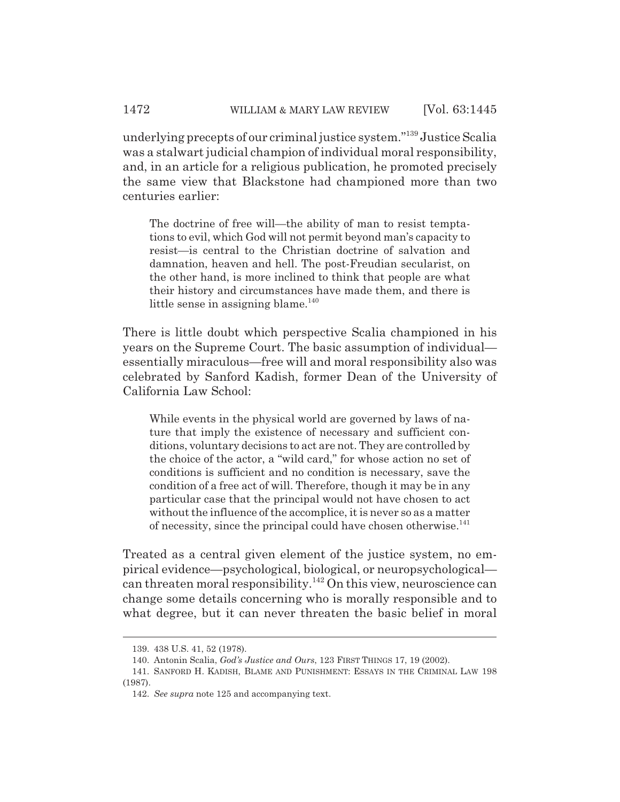underlying precepts of our criminal justice system."139 Justice Scalia was a stalwart judicial champion of individual moral responsibility, and, in an article for a religious publication, he promoted precisely the same view that Blackstone had championed more than two centuries earlier:

The doctrine of free will—the ability of man to resist temptations to evil, which God will not permit beyond man's capacity to resist—is central to the Christian doctrine of salvation and damnation, heaven and hell. The post-Freudian secularist, on the other hand, is more inclined to think that people are what their history and circumstances have made them, and there is little sense in assigning blame. $140$ 

There is little doubt which perspective Scalia championed in his years on the Supreme Court. The basic assumption of individual essentially miraculous—free will and moral responsibility also was celebrated by Sanford Kadish, former Dean of the University of California Law School:

While events in the physical world are governed by laws of nature that imply the existence of necessary and sufficient conditions, voluntary decisions to act are not. They are controlled by the choice of the actor, a "wild card," for whose action no set of conditions is sufficient and no condition is necessary, save the condition of a free act of will. Therefore, though it may be in any particular case that the principal would not have chosen to act without the influence of the accomplice, it is never so as a matter of necessity, since the principal could have chosen otherwise.<sup>141</sup>

Treated as a central given element of the justice system, no empirical evidence—psychological, biological, or neuropsychological can threaten moral responsibility.142 On this view, neuroscience can change some details concerning who is morally responsible and to what degree, but it can never threaten the basic belief in moral

<sup>139. 438</sup> U.S. 41, 52 (1978).

<sup>140.</sup> Antonin Scalia, *God's Justice and Ours*, 123 FIRST THINGS 17, 19 (2002).

<sup>141.</sup> SANFORD H. KADISH, BLAME AND PUNISHMENT: ESSAYS IN THE CRIMINAL LAW 198 (1987).

<sup>142.</sup> *See supra* note 125 and accompanying text.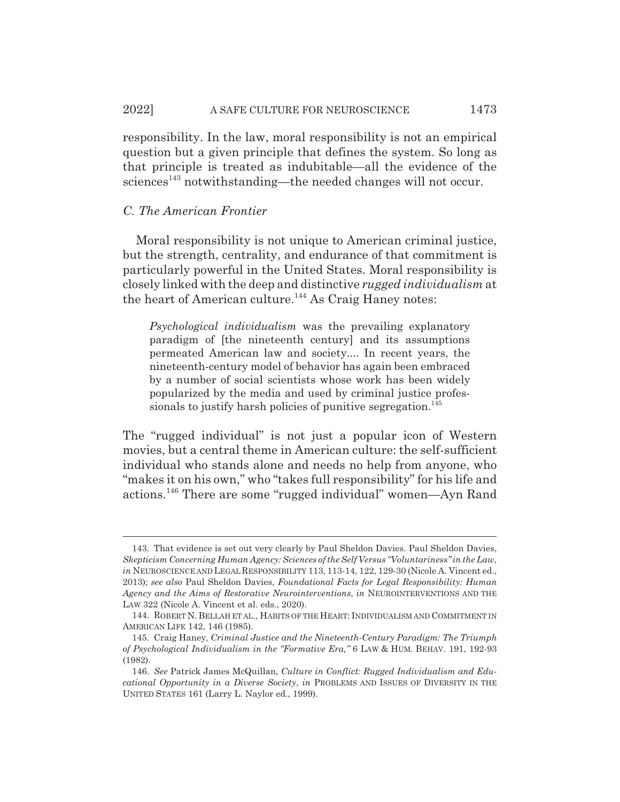responsibility. In the law, moral responsibility is not an empirical question but a given principle that defines the system. So long as that principle is treated as indubitable—all the evidence of the  $sciences<sup>143</sup>$  notwithstanding—the needed changes will not occur.

## *C. The American Frontier*

Moral responsibility is not unique to American criminal justice, but the strength, centrality, and endurance of that commitment is particularly powerful in the United States. Moral responsibility is closely linked with the deep and distinctive *rugged individualism* at the heart of American culture.<sup>144</sup> As Craig Haney notes:

*Psychological individualism* was the prevailing explanatory paradigm of [the nineteenth century] and its assumptions permeated American law and society.... In recent years, the nineteenth-century model of behavior has again been embraced by a number of social scientists whose work has been widely popularized by the media and used by criminal justice professionals to justify harsh policies of punitive segregation.<sup>145</sup>

The "rugged individual" is not just a popular icon of Western movies, but a central theme in American culture: the self-sufficient individual who stands alone and needs no help from anyone, who "makes it on his own," who "takes full responsibility" for his life and actions.146 There are some "rugged individual" women—Ayn Rand

<sup>143.</sup> That evidence is set out very clearly by Paul Sheldon Davies. Paul Sheldon Davies, *Skepticism Concerning Human Agency: Sciences of the Self Versus "Voluntariness" in the Law*, *in* NEUROSCIENCE AND LEGAL RESPONSIBILITY 113, 113-14, 122, 129-30 (Nicole A. Vincent ed., 2013); *see also* Paul Sheldon Davies, *Foundational Facts for Legal Responsibility: Human Agency and the Aims of Restorative Neurointerventions*, *in* NEUROINTERVENTIONS AND THE LAW 322 (Nicole A. Vincent et al. eds., 2020).

<sup>144.</sup> ROBERT N. BELLAH ET AL., HABITS OF THE HEART: INDIVIDUALISM AND COMMITMENT IN AMERICAN LIFE 142, 146 (1985).

<sup>145.</sup> Craig Haney, *Criminal Justice and the Nineteenth-Century Paradigm: The Triumph of Psychological Individualism in the "Formative Era,"* 6 LAW & HUM. BEHAV. 191, 192-93 (1982).

<sup>146.</sup> *See* Patrick James McQuillan, *Culture in Conflict: Rugged Individualism and Educational Opportunity in a Diverse Society*, *in* PROBLEMS AND ISSUES OF DIVERSITY IN THE UNITED STATES 161 (Larry L. Naylor ed., 1999).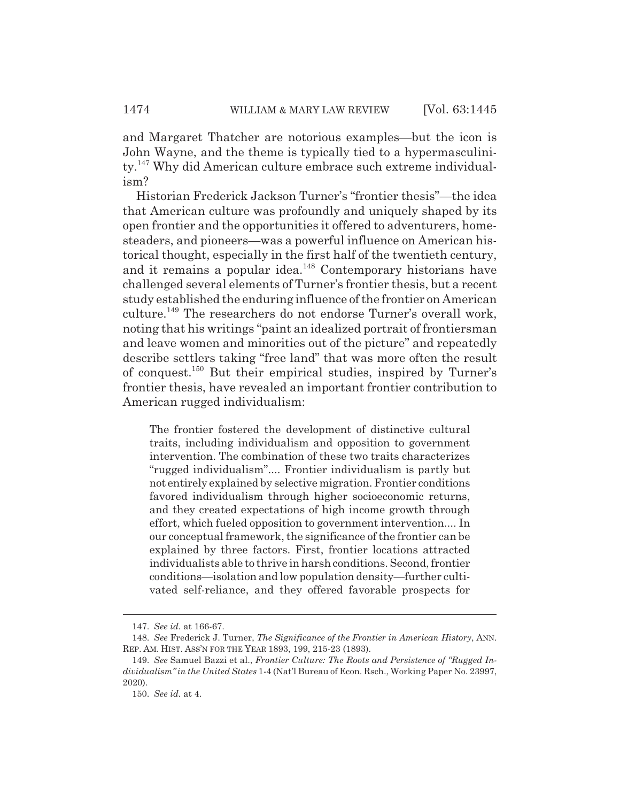and Margaret Thatcher are notorious examples—but the icon is John Wayne, and the theme is typically tied to a hypermasculinity.147 Why did American culture embrace such extreme individualism?

Historian Frederick Jackson Turner's "frontier thesis"—the idea that American culture was profoundly and uniquely shaped by its open frontier and the opportunities it offered to adventurers, homesteaders, and pioneers—was a powerful influence on American historical thought, especially in the first half of the twentieth century, and it remains a popular idea.<sup>148</sup> Contemporary historians have challenged several elements of Turner's frontier thesis, but a recent study established the enduring influence of the frontier on American culture.149 The researchers do not endorse Turner's overall work, noting that his writings "paint an idealized portrait of frontiersman and leave women and minorities out of the picture" and repeatedly describe settlers taking "free land" that was more often the result of conquest.150 But their empirical studies, inspired by Turner's frontier thesis, have revealed an important frontier contribution to American rugged individualism:

The frontier fostered the development of distinctive cultural traits, including individualism and opposition to government intervention. The combination of these two traits characterizes "rugged individualism".... Frontier individualism is partly but not entirely explained by selective migration. Frontier conditions favored individualism through higher socioeconomic returns, and they created expectations of high income growth through effort, which fueled opposition to government intervention.... In our conceptual framework, the significance of the frontier can be explained by three factors. First, frontier locations attracted individualists able to thrive in harsh conditions. Second, frontier conditions—isolation and low population density—further cultivated self-reliance, and they offered favorable prospects for

<sup>147.</sup> *See id.* at 166-67.

<sup>148.</sup> *See* Frederick J. Turner, *The Significance of the Frontier in American History*, ANN. REP. AM. HIST. ASS'N FOR THE YEAR 1893, 199, 215-23 (1893).

<sup>149.</sup> *See* Samuel Bazzi et al., *Frontier Culture: The Roots and Persistence of "Rugged Individualism" in the United States* 1-4 (Nat'l Bureau of Econ. Rsch., Working Paper No. 23997, 2020).

<sup>150.</sup> *See id.* at 4.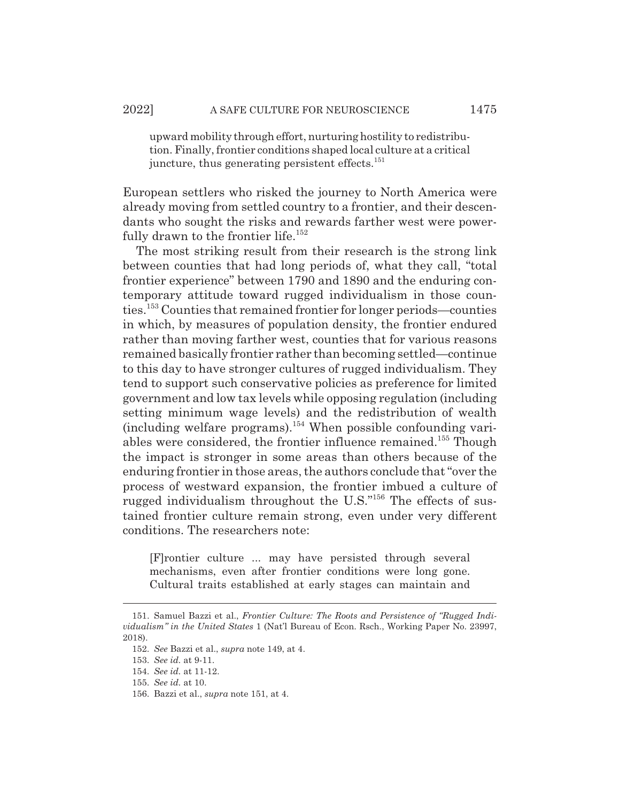upward mobility through effort, nurturing hostility to redistribution. Finally, frontier conditions shaped local culture at a critical juncture, thus generating persistent effects. $151$ 

European settlers who risked the journey to North America were already moving from settled country to a frontier, and their descendants who sought the risks and rewards farther west were powerfully drawn to the frontier life.<sup>152</sup>

The most striking result from their research is the strong link between counties that had long periods of, what they call, "total frontier experience" between 1790 and 1890 and the enduring contemporary attitude toward rugged individualism in those counties.153 Counties that remained frontier for longer periods—counties in which, by measures of population density, the frontier endured rather than moving farther west, counties that for various reasons remained basically frontier rather than becoming settled—continue to this day to have stronger cultures of rugged individualism. They tend to support such conservative policies as preference for limited government and low tax levels while opposing regulation (including setting minimum wage levels) and the redistribution of wealth  $(including welfare programs).<sup>154</sup> When possible confounding vari$ ables were considered, the frontier influence remained.<sup>155</sup> Though the impact is stronger in some areas than others because of the enduring frontier in those areas, the authors conclude that "over the process of westward expansion, the frontier imbued a culture of rugged individualism throughout the U.S."156 The effects of sustained frontier culture remain strong, even under very different conditions. The researchers note:

[F]rontier culture ... may have persisted through several mechanisms, even after frontier conditions were long gone. Cultural traits established at early stages can maintain and

<sup>151.</sup> Samuel Bazzi et al., *Frontier Culture: The Roots and Persistence of "Rugged Individualism" in the United States* 1 (Nat'l Bureau of Econ. Rsch., Working Paper No. 23997, 2018).

<sup>152.</sup> *See* Bazzi et al., *supra* note 149, at 4.

<sup>153.</sup> *See id.* at 9-11.

<sup>154.</sup> *See id.* at 11-12.

<sup>155.</sup> *See id.* at 10.

<sup>156.</sup> Bazzi et al., *supra* note 151, at 4.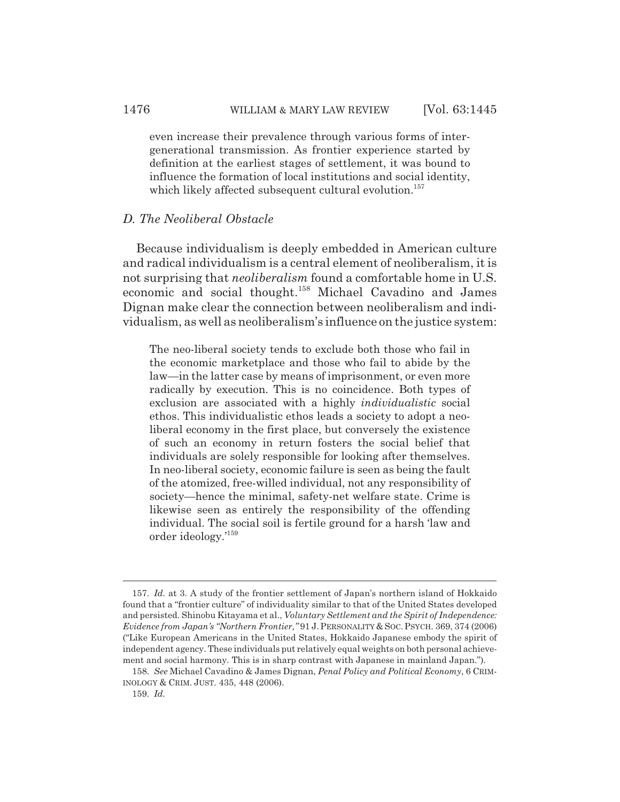even increase their prevalence through various forms of intergenerational transmission. As frontier experience started by definition at the earliest stages of settlement, it was bound to influence the formation of local institutions and social identity, which likely affected subsequent cultural evolution.<sup>157</sup>

### *D. The Neoliberal Obstacle*

Because individualism is deeply embedded in American culture and radical individualism is a central element of neoliberalism, it is not surprising that *neoliberalism* found a comfortable home in U.S. economic and social thought.158 Michael Cavadino and James Dignan make clear the connection between neoliberalism and individualism, as well as neoliberalism's influence on the justice system:

The neo-liberal society tends to exclude both those who fail in the economic marketplace and those who fail to abide by the law—in the latter case by means of imprisonment, or even more radically by execution. This is no coincidence. Both types of exclusion are associated with a highly *individualistic* social ethos. This individualistic ethos leads a society to adopt a neoliberal economy in the first place, but conversely the existence of such an economy in return fosters the social belief that individuals are solely responsible for looking after themselves. In neo-liberal society, economic failure is seen as being the fault of the atomized, free-willed individual, not any responsibility of society—hence the minimal, safety-net welfare state. Crime is likewise seen as entirely the responsibility of the offending individual. The social soil is fertile ground for a harsh 'law and order ideology.'159

<sup>157.</sup> *Id.* at 3. A study of the frontier settlement of Japan's northern island of Hokkaido found that a "frontier culture" of individuality similar to that of the United States developed and persisted. Shinobu Kitayama et al., *Voluntary Settlement and the Spirit of Independence: Evidence from Japan's "Northern Frontier,"* 91 J.PERSONALITY & SOC. PSYCH. 369, 374 (2006) ("Like European Americans in the United States, Hokkaido Japanese embody the spirit of independent agency. These individuals put relatively equal weights on both personal achievement and social harmony. This is in sharp contrast with Japanese in mainland Japan.").

<sup>158.</sup> *See* Michael Cavadino & James Dignan, *Penal Policy and Political Economy*, 6 CRIM-INOLOGY & CRIM. JUST. 435, 448 (2006).

<sup>159.</sup> *Id.*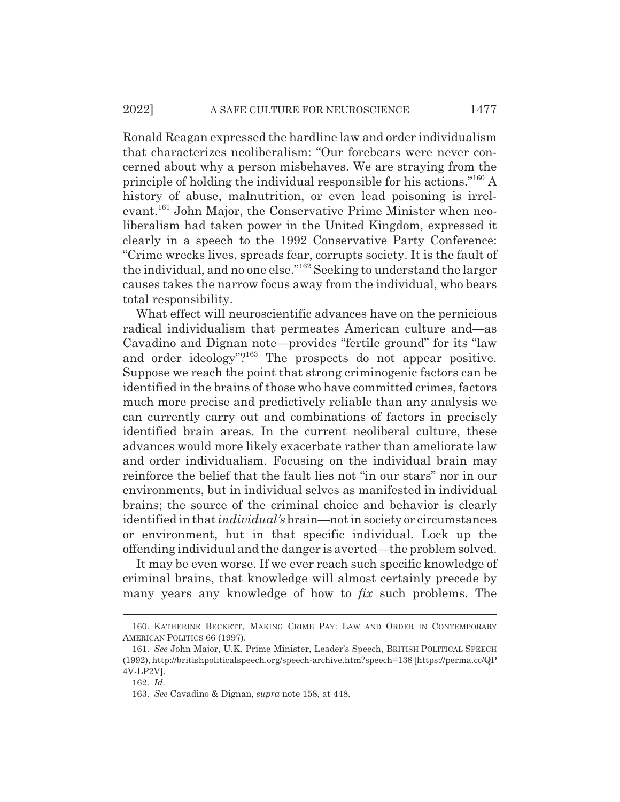Ronald Reagan expressed the hardline law and order individualism that characterizes neoliberalism: "Our forebears were never concerned about why a person misbehaves. We are straying from the principle of holding the individual responsible for his actions."160 A history of abuse, malnutrition, or even lead poisoning is irrelevant.<sup>161</sup> John Major, the Conservative Prime Minister when neoliberalism had taken power in the United Kingdom, expressed it clearly in a speech to the 1992 Conservative Party Conference: "Crime wrecks lives, spreads fear, corrupts society. It is the fault of the individual, and no one else."162 Seeking to understand the larger causes takes the narrow focus away from the individual, who bears total responsibility.

What effect will neuroscientific advances have on the pernicious radical individualism that permeates American culture and—as Cavadino and Dignan note—provides "fertile ground" for its "law and order ideology"?<sup>163</sup> The prospects do not appear positive. Suppose we reach the point that strong criminogenic factors can be identified in the brains of those who have committed crimes, factors much more precise and predictively reliable than any analysis we can currently carry out and combinations of factors in precisely identified brain areas. In the current neoliberal culture, these advances would more likely exacerbate rather than ameliorate law and order individualism. Focusing on the individual brain may reinforce the belief that the fault lies not "in our stars" nor in our environments, but in individual selves as manifested in individual brains; the source of the criminal choice and behavior is clearly identified in that *individual's* brain—not in society or circumstances or environment, but in that specific individual. Lock up the offending individual and the danger is averted—the problem solved.

It may be even worse. If we ever reach such specific knowledge of criminal brains, that knowledge will almost certainly precede by many years any knowledge of how to *fix* such problems. The

<sup>160.</sup> KATHERINE BECKETT, MAKING CRIME PAY: LAW AND ORDER IN CONTEMPORARY AMERICAN POLITICS 66 (1997).

<sup>161.</sup> *See* John Major, U.K. Prime Minister, Leader's Speech, BRITISH POLITICAL SPEECH (1992), http://britishpoliticalspeech.org/speech-archive.htm?speech=138 [https://perma.cc/QP 4V-LP2V].

<sup>162.</sup> *Id.*

<sup>163.</sup> *See* Cavadino & Dignan, *supra* note 158, at 448.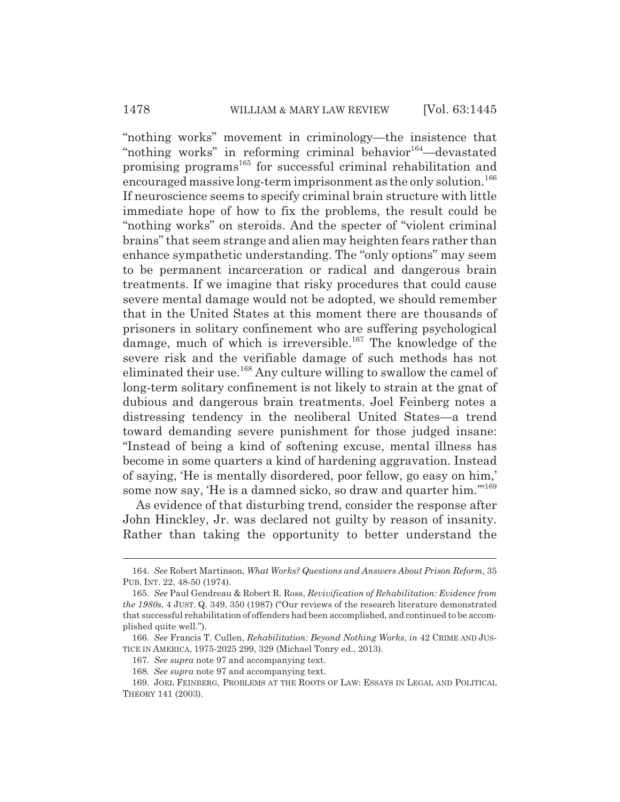"nothing works" movement in criminology—the insistence that "nothing works" in reforming criminal behavior  $164$ —devastated promising programs<sup>165</sup> for successful criminal rehabilitation and encouraged massive long-term imprisonment as the only solution.<sup>166</sup> If neuroscience seems to specify criminal brain structure with little immediate hope of how to fix the problems, the result could be "nothing works" on steroids. And the specter of "violent criminal brains" that seem strange and alien may heighten fears rather than enhance sympathetic understanding. The "only options" may seem to be permanent incarceration or radical and dangerous brain treatments. If we imagine that risky procedures that could cause severe mental damage would not be adopted, we should remember that in the United States at this moment there are thousands of prisoners in solitary confinement who are suffering psychological damage, much of which is irreversible.<sup>167</sup> The knowledge of the severe risk and the verifiable damage of such methods has not eliminated their use.<sup>168</sup> Any culture willing to swallow the camel of long-term solitary confinement is not likely to strain at the gnat of dubious and dangerous brain treatments. Joel Feinberg notes a distressing tendency in the neoliberal United States—a trend toward demanding severe punishment for those judged insane: "Instead of being a kind of softening excuse, mental illness has become in some quarters a kind of hardening aggravation. Instead of saying, 'He is mentally disordered, poor fellow, go easy on him,' some now say, 'He is a damned sicko, so draw and quarter him."<sup>169</sup>

As evidence of that disturbing trend, consider the response after John Hinckley, Jr. was declared not guilty by reason of insanity. Rather than taking the opportunity to better understand the

<sup>164.</sup> *See* Robert Martinson, *What Works? Questions and Answers About Prison Reform,* 35 PUB. INT. 22, 48-50 (1974).

<sup>165.</sup> *See* Paul Gendreau & Robert R. Ross, *Revivification of Rehabilitation: Evidence from the 1980s*, 4 JUST. Q. 349, 350 (1987) ("Our reviews of the research literature demonstrated that successful rehabilitation of offenders had been accomplished, and continued to be accomplished quite well.").

<sup>166.</sup> *See* Francis T. Cullen, *Rehabilitation: Beyond Nothing Works*, *in* 42 CRIME AND JUS-TICE IN AMERICA, 1975-2025 299, 329 (Michael Tonry ed., 2013).

<sup>167.</sup> *See supra* note 97 and accompanying text.

<sup>168.</sup> *See supra* note 97 and accompanying text.

<sup>169.</sup> JOEL FEINBERG, PROBLEMS AT THE ROOTS OF LAW: ESSAYS IN LEGAL AND POLITICAL THEORY 141 (2003).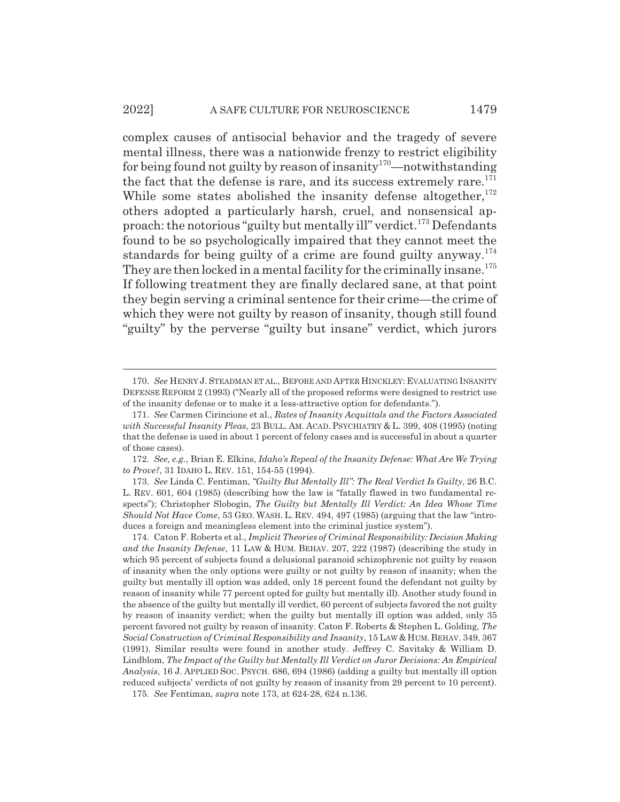complex causes of antisocial behavior and the tragedy of severe mental illness, there was a nationwide frenzy to restrict eligibility for being found not guilty by reason of insanity<sup>170</sup>—notwithstanding the fact that the defense is rare, and its success extremely rare. $171$ While some states abolished the insanity defense altogether, $172$ others adopted a particularly harsh, cruel, and nonsensical approach: the notorious "guilty but mentally ill" verdict.<sup>173</sup> Defendants found to be so psychologically impaired that they cannot meet the standards for being guilty of a crime are found guilty anyway.<sup>174</sup> They are then locked in a mental facility for the criminally insane.<sup>175</sup> If following treatment they are finally declared sane, at that point they begin serving a criminal sentence for their crime—the crime of which they were not guilty by reason of insanity, though still found "guilty" by the perverse "guilty but insane" verdict, which jurors

<sup>170.</sup> *See* HENRY J. STEADMAN ET AL., BEFORE AND AFTER HINCKLEY: EVALUATING INSANITY DEFENSE REFORM 2 (1993) ("Nearly all of the proposed reforms were designed to restrict use of the insanity defense or to make it a less-attractive option for defendants.").

<sup>171.</sup> *See* Carmen Cirincione et al., *Rates of Insanity Acquittals and the Factors Associated with Successful Insanity Pleas*, 23 BULL. AM. ACAD. PSYCHIATRY & L. 399, 408 (1995) (noting that the defense is used in about 1 percent of felony cases and is successful in about a quarter of those cases).

<sup>172.</sup> *See, e.g.*, Brian E. Elkins, *Idaho's Repeal of the Insanity Defense: What Are We Trying to Prove?*, 31 IDAHO L. REV. 151, 154-55 (1994).

<sup>173.</sup> *See* Linda C. Fentiman, *"Guilty But Mentally Ill": The Real Verdict Is Guilty*, 26 B.C. L. REV. 601, 604 (1985) (describing how the law is "fatally flawed in two fundamental respects"); Christopher Slobogin, *The Guilty but Mentally Ill Verdict: An Idea Whose Time Should Not Have Come*, 53 GEO. WASH. L. REV. 494, 497 (1985) (arguing that the law "introduces a foreign and meaningless element into the criminal justice system").

<sup>174.</sup> Caton F. Roberts et al., *Implicit Theories of Criminal Responsibility: Decision Making and the Insanity Defense*, 11 LAW & HUM. BEHAV. 207, 222 (1987) (describing the study in which 95 percent of subjects found a delusional paranoid schizophrenic not guilty by reason of insanity when the only options were guilty or not guilty by reason of insanity; when the guilty but mentally ill option was added, only 18 percent found the defendant not guilty by reason of insanity while 77 percent opted for guilty but mentally ill). Another study found in the absence of the guilty but mentally ill verdict, 60 percent of subjects favored the not guilty by reason of insanity verdict; when the guilty but mentally ill option was added, only 35 percent favored not guilty by reason of insanity. Caton F. Roberts & Stephen L. Golding, *The Social Construction of Criminal Responsibility and Insanity*, 15 LAW & HUM.BEHAV. 349, 367 (1991). Similar results were found in another study. Jeffrey C. Savitsky & William D. Lindblom, *The Impact of the Guilty but Mentally Ill Verdict on Juror Decisions: An Empirical Analysis*, 16 J. APPLIED SOC. PSYCH. 686, 694 (1986) (adding a guilty but mentally ill option reduced subjects' verdicts of not guilty by reason of insanity from 29 percent to 10 percent).

<sup>175.</sup> *See* Fentiman, *supra* note 173, at 624-28, 624 n.136.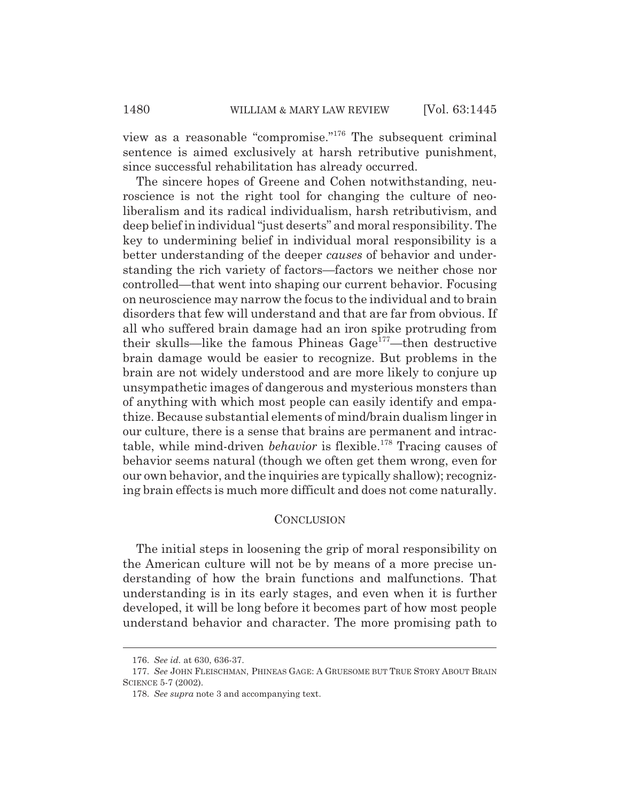view as a reasonable "compromise."176 The subsequent criminal sentence is aimed exclusively at harsh retributive punishment, since successful rehabilitation has already occurred.

The sincere hopes of Greene and Cohen notwithstanding, neuroscience is not the right tool for changing the culture of neoliberalism and its radical individualism, harsh retributivism, and deep belief in individual "just deserts" and moral responsibility. The key to undermining belief in individual moral responsibility is a better understanding of the deeper *causes* of behavior and understanding the rich variety of factors—factors we neither chose nor controlled—that went into shaping our current behavior. Focusing on neuroscience may narrow the focus to the individual and to brain disorders that few will understand and that are far from obvious. If all who suffered brain damage had an iron spike protruding from their skulls—like the famous Phineas Gage177—then destructive brain damage would be easier to recognize. But problems in the brain are not widely understood and are more likely to conjure up unsympathetic images of dangerous and mysterious monsters than of anything with which most people can easily identify and empathize. Because substantial elements of mind/brain dualism linger in our culture, there is a sense that brains are permanent and intractable, while mind-driven *behavior* is flexible.<sup>178</sup> Tracing causes of behavior seems natural (though we often get them wrong, even for our own behavior, and the inquiries are typically shallow); recognizing brain effects is much more difficult and does not come naturally.

# **CONCLUSION**

The initial steps in loosening the grip of moral responsibility on the American culture will not be by means of a more precise understanding of how the brain functions and malfunctions. That understanding is in its early stages, and even when it is further developed, it will be long before it becomes part of how most people understand behavior and character. The more promising path to

<sup>176.</sup> *See id.* at 630, 636-37.

<sup>177.</sup> *See* JOHN FLEISCHMAN, PHINEAS GAGE:AGRUESOME BUT TRUE STORY ABOUT BRAIN SCIENCE 5-7 (2002).

<sup>178.</sup> *See supra* note 3 and accompanying text.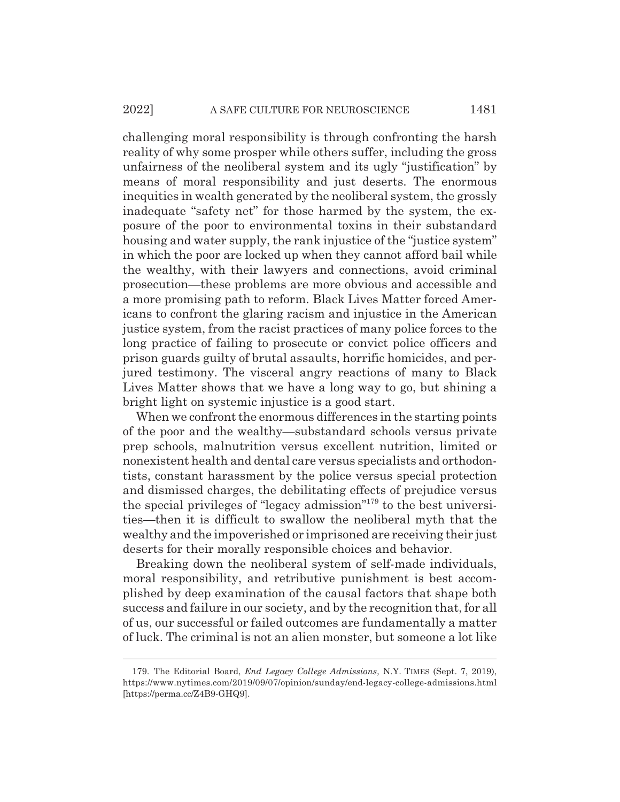challenging moral responsibility is through confronting the harsh reality of why some prosper while others suffer, including the gross unfairness of the neoliberal system and its ugly "justification" by means of moral responsibility and just deserts. The enormous inequities in wealth generated by the neoliberal system, the grossly inadequate "safety net" for those harmed by the system, the exposure of the poor to environmental toxins in their substandard housing and water supply, the rank injustice of the "justice system" in which the poor are locked up when they cannot afford bail while the wealthy, with their lawyers and connections, avoid criminal prosecution—these problems are more obvious and accessible and a more promising path to reform. Black Lives Matter forced Americans to confront the glaring racism and injustice in the American justice system, from the racist practices of many police forces to the long practice of failing to prosecute or convict police officers and prison guards guilty of brutal assaults, horrific homicides, and perjured testimony. The visceral angry reactions of many to Black Lives Matter shows that we have a long way to go, but shining a bright light on systemic injustice is a good start.

When we confront the enormous differences in the starting points of the poor and the wealthy—substandard schools versus private prep schools, malnutrition versus excellent nutrition, limited or nonexistent health and dental care versus specialists and orthodontists, constant harassment by the police versus special protection and dismissed charges, the debilitating effects of prejudice versus the special privileges of "legacy admission"179 to the best universities—then it is difficult to swallow the neoliberal myth that the wealthy and the impoverished or imprisoned are receiving their just deserts for their morally responsible choices and behavior.

Breaking down the neoliberal system of self-made individuals, moral responsibility, and retributive punishment is best accomplished by deep examination of the causal factors that shape both success and failure in our society, and by the recognition that, for all of us, our successful or failed outcomes are fundamentally a matter of luck. The criminal is not an alien monster, but someone a lot like

<sup>179.</sup> The Editorial Board, *End Legacy College Admissions*, N.Y. TIMES (Sept. 7, 2019), https://www.nytimes.com/2019/09/07/opinion/sunday/end-legacy-college-admissions.html [https://perma.cc/Z4B9-GHQ9].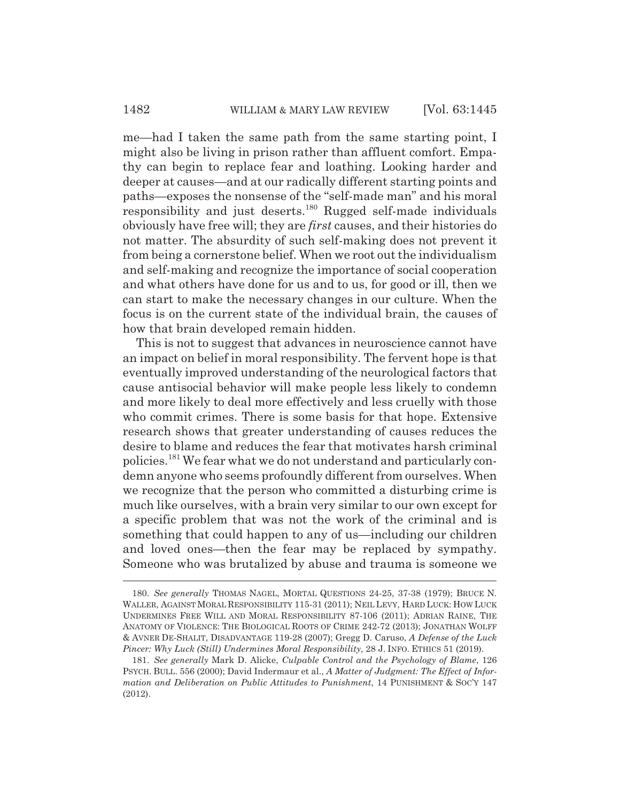me—had I taken the same path from the same starting point, I might also be living in prison rather than affluent comfort. Empathy can begin to replace fear and loathing. Looking harder and deeper at causes—and at our radically different starting points and paths—exposes the nonsense of the "self-made man" and his moral responsibility and just deserts.<sup>180</sup> Rugged self-made individuals obviously have free will; they are *first* causes, and their histories do not matter. The absurdity of such self-making does not prevent it from being a cornerstone belief. When we root out the individualism and self-making and recognize the importance of social cooperation and what others have done for us and to us, for good or ill, then we can start to make the necessary changes in our culture. When the focus is on the current state of the individual brain, the causes of how that brain developed remain hidden.

This is not to suggest that advances in neuroscience cannot have an impact on belief in moral responsibility. The fervent hope is that eventually improved understanding of the neurological factors that cause antisocial behavior will make people less likely to condemn and more likely to deal more effectively and less cruelly with those who commit crimes. There is some basis for that hope. Extensive research shows that greater understanding of causes reduces the desire to blame and reduces the fear that motivates harsh criminal policies.181 We fear what we do not understand and particularly condemn anyone who seems profoundly different from ourselves. When we recognize that the person who committed a disturbing crime is much like ourselves, with a brain very similar to our own except for a specific problem that was not the work of the criminal and is something that could happen to any of us—including our children and loved ones—then the fear may be replaced by sympathy. Someone who was brutalized by abuse and trauma is someone we

<sup>180.</sup> *See generally* THOMAS NAGEL, MORTAL QUESTIONS 24-25, 37-38 (1979); BRUCE N. WALLER, AGAINST MORAL RESPONSIBILITY 115-31 (2011); NEIL LEVY, HARD LUCK: HOW LUCK UNDERMINES FREE WILL AND MORAL RESPONSIBILITY 87-106 (2011); ADRIAN RAINE, THE ANATOMY OF VIOLENCE: THE BIOLOGICAL ROOTS OF CRIME 242-72 (2013); JONATHAN WOLFF & AVNER DE-SHALIT, DISADVANTAGE 119-28 (2007); Gregg D. Caruso, *A Defense of the Luck Pincer: Why Luck (Still) Undermines Moral Responsibility*, 28 J. INFO. ETHICS 51 (2019).

<sup>181.</sup> *See generally* Mark D. Alicke, *Culpable Control and the Psychology of Blame*, 126 PSYCH. BULL. 556 (2000); David Indermaur et al., *A Matter of Judgment: The Effect of Information and Deliberation on Public Attitudes to Punishment*, 14 PUNISHMENT & SOC'Y 147 (2012).